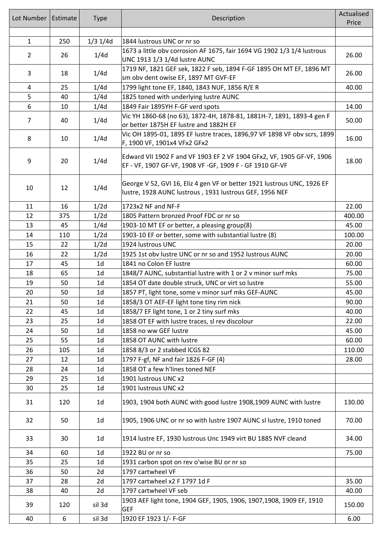| Lot Number     | Estimate | <b>Type</b>    | Description                                                                                                                         | Actualised |
|----------------|----------|----------------|-------------------------------------------------------------------------------------------------------------------------------------|------------|
|                |          |                |                                                                                                                                     | Price      |
| $\mathbf{1}$   | 250      | $1/3$ 1/4d     | 1844 lustrous UNC or nr so                                                                                                          |            |
|                |          |                | 1673 a little obv corrosion AF 1675, fair 1694 VG 1902 1/3 1/4 lustrous                                                             |            |
| $\overline{2}$ | 26       | 1/4d           | UNC 1913 1/3 1/4d lustre AUNC                                                                                                       | 26.00      |
| 3              | 18       | 1/4d           | 1719 NF, 1821 GEF sek, 1822 F seb, 1894 F-GF 1895 OH MT EF, 1896 MT                                                                 | 26.00      |
|                | 25       | 1/4d           | sm obv dent owise EF, 1897 MT GVF-EF<br>1799 light tone EF, 1840, 1843 NUF, 1856 R/E R                                              | 40.00      |
| 4<br>5         | 40       | 1/4d           | 1825 toned with underlying lustre AUNC                                                                                              |            |
| 6              | 10       | 1/4d           | 1849 Fair 1895YH F-GF verd spots                                                                                                    | 14.00      |
|                |          |                | Vic YH 1860-68 (no 63), 1872-4H, 1878-81, 1881H-7, 1891, 1893-4 gen F                                                               |            |
| $\overline{7}$ | 40       | 1/4d           | or better 1875H EF lustre and 1882H EF                                                                                              | 50.00      |
| 8              | 10       | 1/4d           | Vic OH 1895-01, 1895 EF lustre traces, 1896,97 VF 1898 VF obv scrs, 1899<br>F, 1900 VF, 1901x4 VFx2 GFx2                            | 16.00      |
| 9              | 20       | 1/4d           | Edward VII 1902 F and VF 1903 EF 2 VF 1904 GFx2, VF, 1905 GF-VF, 1906<br>EF - VF, 1907 GF-VF, 1908 VF -GF, 1909 F - GF 1910 GF-VF   | 18.00      |
| 10             | 12       | 1/4d           | George V 52, GVI 16, Eliz 4 gen VF or better 1921 lustrous UNC, 1926 EF<br>lustre, 1928 AUNC lustrous , 1931 lustrous GEF, 1956 NEF |            |
| 11             | 16       | 1/2d           | 1723x2 NF and NF-F                                                                                                                  | 22.00      |
| 12             | 375      | 1/2d           | 1805 Pattern bronzed Proof FDC or nr so                                                                                             | 400.00     |
| 13             | 45       | 1/4d           | 1903-10 MT EF or better, a pleasing group(8)                                                                                        | 45.00      |
| 14             | 110      | 1/2d           | 1903-10 EF or better, some with substantial lustre (8)                                                                              | 100.00     |
| 15             | 22       | 1/2d           | 1924 lustrous UNC                                                                                                                   | 20.00      |
| 16             | 22       | 1/2d           | 1925 1st obv lustre UNC or nr so and 1952 lustrous AUNC                                                                             | 20.00      |
| 17             | 45       | 1 <sub>d</sub> | 1841 no Colon EF lustre                                                                                                             | 60.00      |
| 18             | 65       | 1 <sub>d</sub> | 1848/7 AUNC, substantial lustre with 1 or 2 v minor surf mks                                                                        | 75.00      |
| 19             | 50       | 1 <sub>d</sub> | 1854 OT date double struck, UNC or virt so lustre                                                                                   | 55.00      |
| 20             | 50       | 1 <sub>d</sub> | 1857 PT, light tone, some v minor surf mks GEF-AUNC                                                                                 | 45.00      |
| 21             | 50       | 1 <sub>d</sub> | 1858/3 OT AEF-EF light tone tiny rim nick                                                                                           | 90.00      |
| 22             | 45       | 1 <sub>d</sub> | 1858/7 EF light tone, 1 or 2 tiny surf mks                                                                                          | 40.00      |
| 23             | 25       | 1 <sub>d</sub> | 1858 OT EF with lustre traces, sl rev discolour                                                                                     | 22.00      |
| 24             | 50       | 1 <sub>d</sub> | 1858 no ww GEF lustre                                                                                                               | 45.00      |
| 25             | 55       | 1 <sub>d</sub> | 1858 OT AUNC with lustre                                                                                                            | 60.00      |
| 26             | 105      | 1 <sub>d</sub> | 1858 8/3 or 2 stabbed ICGS 82                                                                                                       | 110.00     |
| 27             | 12       | 1 <sub>d</sub> | 1797 F-gf, NF and fair 1826 F-GF (4)                                                                                                | 28.00      |
| 28             | 24       | 1 <sub>d</sub> | 1858 OT a few h'lines toned NEF                                                                                                     |            |
| 29             | 25       | 1 <sub>d</sub> | 1901 lustrous UNC x2                                                                                                                |            |
| 30             | 25       | 1 <sub>d</sub> | 1901 lustrous UNC x2                                                                                                                |            |
| 31             | 120      | 1 <sub>d</sub> | 1903, 1904 both AUNC with good lustre 1908,1909 AUNC with lustre                                                                    | 130.00     |
| 32             | 50       | 1 <sub>d</sub> | 1905, 1906 UNC or nr so with lustre 1907 AUNC sl lustre, 1910 toned                                                                 | 70.00      |
| 33             | 30       | 1 <sub>d</sub> | 1914 lustre EF, 1930 lustrous Unc 1949 virt BU 1885 NVF cleand                                                                      | 34.00      |
| 34             | 60       | 1 <sub>d</sub> | 1922 BU or nr so                                                                                                                    | 75.00      |
| 35             | 25       | 1 <sub>d</sub> | 1931 carbon spot on rev o'wise BU or nr so                                                                                          |            |
| 36             | 50       | 2d             | 1797 cartwheel VF                                                                                                                   |            |
| 37             | 28       | 2d             | 1797 cartwheel x2 F 1797 1d F                                                                                                       | 35.00      |
| 38             | 40       | 2d             | 1797 cartwheel VF seb                                                                                                               | 40.00      |
| 39             | 120      | sil 3d         | 1903 AEF light tone, 1904 GEF, 1905, 1906, 1907, 1908, 1909 EF, 1910<br>GEF                                                         | 150.00     |
| 40             | 6        | sil 3d         | 1920 EF 1923 1/- F-GF                                                                                                               | 6.00       |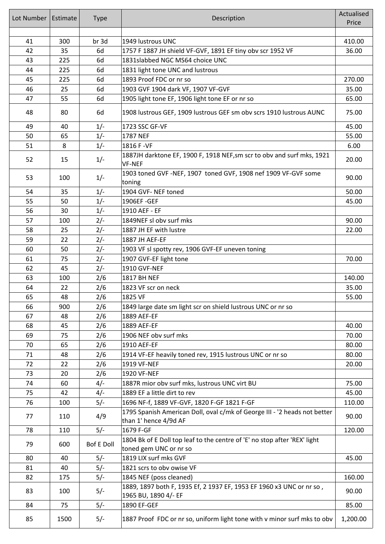| Lot Number | Estimate | <b>Type</b>       | Description                                                                                         | Actualised<br>Price |
|------------|----------|-------------------|-----------------------------------------------------------------------------------------------------|---------------------|
| 41         | 300      | br 3d             | 1949 lustrous UNC                                                                                   | 410.00              |
| 42         | 35       | 6d                | 1757 F 1887 JH shield VF-GVF, 1891 EF tiny obv scr 1952 VF                                          | 36.00               |
| 43         | 225      | 6d                | 1831slabbed NGC MS64 choice UNC                                                                     |                     |
| 44         | 225      | 6d                | 1831 light tone UNC and lustrous                                                                    |                     |
| 45         | 225      | 6d                | 1893 Proof FDC or nr so                                                                             | 270.00              |
| 46         | 25       | 6d                | 1903 GVF 1904 dark VF, 1907 VF-GVF                                                                  | 35.00               |
| 47         | 55       | 6d                | 1905 light tone EF, 1906 light tone EF or nr so                                                     | 65.00               |
| 48         | 80       | 6d                | 1908 lustrous GEF, 1909 lustrous GEF sm obv scrs 1910 lustrous AUNC                                 | 75.00               |
| 49         | 40       | $1/-$             | 1723 SSC GF-VF                                                                                      | 45.00               |
| 50         | 65       | $1/-$             | 1787 NEF                                                                                            | 55.00               |
| 51         | 8        | $1/-$             | 1816 F - VF                                                                                         | 6.00                |
| 52         | 15       | $1/-$             | 1887JH darktone EF, 1900 F, 1918 NEF, sm scr to obv and surf mks, 1921<br><b>VF-NEF</b>             | 20.00               |
| 53         | 100      | $1/-$             | 1903 toned GVF -NEF, 1907 toned GVF, 1908 nef 1909 VF-GVF some<br>toning                            | 90.00               |
| 54         | 35       | $1/-$             | 1904 GVF- NEF toned                                                                                 | 50.00               |
| 55         | 50       | $1/-$             | 1906EF-GEF                                                                                          | 45.00               |
| 56         | 30       | $1/-$             | 1910 AEF - EF                                                                                       |                     |
| 57         | 100      | $2/-$             | 1849NEF sl obv surf mks                                                                             | 90.00               |
| 58         | 25       | $2/-$             | 1887 JH EF with lustre                                                                              | 22.00               |
| 59         | 22       | $2/-$             | 1887 JH AEF-EF                                                                                      |                     |
| 60         | 50       | $2/-$             | 1903 VF sl spotty rev, 1906 GVF-EF uneven toning                                                    |                     |
| 61         | 75       | $2/-$             | 1907 GVF-EF light tone                                                                              | 70.00               |
| 62         | 45       | $2/-$             | <b>1910 GVF-NEF</b>                                                                                 |                     |
| 63         | 100      | 2/6               | 1817 BH NEF                                                                                         | 140.00              |
| 64         | 22       | 2/6               | 1823 VF scr on neck                                                                                 | 35.00               |
| 65         | 48       | 2/6               | 1825 VF                                                                                             | 55.00               |
| 66         | 900      | 2/6               | 1849 large date sm light scr on shield lustrous UNC or nr so                                        |                     |
| 67         | 48       | 2/6               | 1889 AEF-EF                                                                                         |                     |
| 68         | 45       | 2/6               | 1889 AEF-EF                                                                                         | 40.00               |
| 69         | 75       | 2/6               | 1906 NEF obv surf mks                                                                               | 70.00               |
| 70         | 65       | 2/6               | 1910 AEF-EF                                                                                         | 80.00               |
| 71         | 48       | 2/6               | 1914 VF-EF heavily toned rev, 1915 lustrous UNC or nr so                                            | 80.00               |
| 72         | 22       | 2/6               | 1919 VF-NEF                                                                                         | 20.00               |
| 73         | 20       | 2/6               | 1920 VF-NEF                                                                                         |                     |
| 74         | 60       | $4/-$             | 1887R mior obv surf mks, lustrous UNC virt BU                                                       | 75.00               |
| 75         | 42       | $4/-$             | 1889 EF a little dirt to rev                                                                        | 45.00               |
| 76         | 100      | $5/-$             | 1696 NF-f, 1889 VF-GVF, 1820 F-GF 1821 F-GF                                                         | 110.00              |
| 77         | 110      | 4/9               | 1795 Spanish American Doll, oval c/mk of George III - '2 heads not better<br>than 1' hence 4/9d AF  | 90.00               |
| 78         | 110      | $5/-$             | 1679 F-GF                                                                                           | 120.00              |
| 79         | 600      | <b>Bof E Doll</b> | 1804 Bk of E Doll top leaf to the centre of 'E' no stop after 'REX' light<br>toned gem UNC or nr so |                     |
| 80         | 40       | $5/-$             | 1819 LIX surf mks GVF                                                                               | 45.00               |
| 81         | 40       | $5/-$             | 1821 scrs to obv owise VF                                                                           |                     |
| 82         | 175      | $5/-$             | 1845 NEF (poss cleaned)                                                                             | 160.00              |
| 83         | 100      | $5/-$             | 1889, 1897 both F, 1935 Ef, 2 1937 EF, 1953 EF 1960 x3 UNC or nr so,<br>1965 BU, 1890 4/- EF        | 90.00               |
| 84         | 75       | $5/-$             | 1890 EF-GEF                                                                                         | 85.00               |
| 85         | 1500     | $5/-$             | 1887 Proof FDC or nr so, uniform light tone with v minor surf mks to obv                            | 1,200.00            |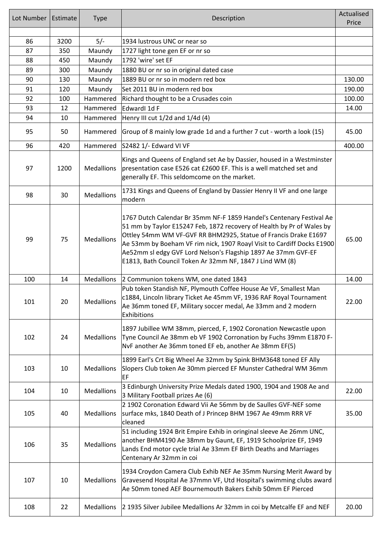| Lot Number | Estimate | <b>Type</b>       | Description                                                                                                                                                                                                                                                                                                                                                                                                             | Actualised<br>Price |
|------------|----------|-------------------|-------------------------------------------------------------------------------------------------------------------------------------------------------------------------------------------------------------------------------------------------------------------------------------------------------------------------------------------------------------------------------------------------------------------------|---------------------|
| 86         | 3200     |                   | 1934 lustrous UNC or near so                                                                                                                                                                                                                                                                                                                                                                                            |                     |
| 87         | 350      | $5/-$<br>Maundy   | 1727 light tone gen EF or nr so                                                                                                                                                                                                                                                                                                                                                                                         |                     |
| 88         | 450      | Maundy            | 1792 'wire' set EF                                                                                                                                                                                                                                                                                                                                                                                                      |                     |
| 89         | 300      | Maundy            | 1880 BU or nr so in original dated case                                                                                                                                                                                                                                                                                                                                                                                 |                     |
| 90         | 130      | Maundy            | 1889 BU or nr so in modern red box                                                                                                                                                                                                                                                                                                                                                                                      | 130.00              |
| 91         | 120      | Maundy            | Set 2011 BU in modern red box                                                                                                                                                                                                                                                                                                                                                                                           | 190.00              |
| 92         | 100      | Hammered          | Richard thought to be a Crusades coin                                                                                                                                                                                                                                                                                                                                                                                   | 100.00              |
| 93         | 12       | Hammered          | Edwardl 1d F                                                                                                                                                                                                                                                                                                                                                                                                            | 14.00               |
| 94         | 10       | Hammered          | Henry III cut $1/2d$ and $1/4d$ (4)                                                                                                                                                                                                                                                                                                                                                                                     |                     |
| 95         | 50       | Hammered          | Group of 8 mainly low grade 1d and a further 7 cut - worth a look (15)                                                                                                                                                                                                                                                                                                                                                  | 45.00               |
| 96         | 420      | Hammered          | S2482 1/- Edward VI VF                                                                                                                                                                                                                                                                                                                                                                                                  | 400.00              |
| 97         | 1200     | Medallions        | Kings and Queens of England set Ae by Dassier, housed in a Westminster<br>presentation case E526 cat £2600 EF. This is a well matched set and<br>generally EF. This seldomcome on the market.                                                                                                                                                                                                                           |                     |
| 98         | 30       | Medallions        | 1731 Kings and Queens of England by Dassier Henry II VF and one large<br>modern                                                                                                                                                                                                                                                                                                                                         |                     |
| 99         | 75       | <b>Medallions</b> | 1767 Dutch Calendar Br 35mm NF-F 1859 Handel's Centenary Festival Ae<br>51 mm by Taylor E15247 Feb, 1872 recovery of Health by Pr of Wales by<br>Ottley 54mm WM VF-GVF RR BHM2925, Statue of Francis Drake E1697<br>Ae 53mm by Boeham VF rim nick, 1907 Roayl Visit to Cardiff Docks E1900<br>Ae52mm sl edgy GVF Lord Nelson's Flagship 1897 Ae 37mm GVF-EF<br>E1813, Bath Council Token Ar 32mm NF, 1847 J Lind WM (8) | 65.00               |
| 100        | 14       | <b>Medallions</b> | 2 Communion tokens WM, one dated 1843                                                                                                                                                                                                                                                                                                                                                                                   | 14.00               |
| 101        | 20       | Medallions        | Pub token Standish NF, Plymouth Coffee House Ae VF, Smallest Man<br>c1884, Lincoln library Ticket Ae 45mm VF, 1936 RAF Royal Tournament<br>Ae 36mm toned EF, Military soccer medal, Ae 33mm and 2 modern<br>Exhibitions                                                                                                                                                                                                 | 22.00               |
| 102        | 24       | Medallions        | 1897 Jubillee WM 38mm, pierced, F, 1902 Coronation Newcastle upon<br>Tyne Council Ae 38mm eb VF 1902 Corronation by Fuchs 39mm E1870 F-<br>NvF another Ae 36mm toned EF eb, another Ae 38mm EF(5)                                                                                                                                                                                                                       |                     |
| 103        | 10       | Medallions        | 1899 Earl's Crt Big Wheel Ae 32mm by Spink BHM3648 toned EF Ally<br>Slopers Club token Ae 30mm pierced EF Munster Cathedral WM 36mm<br>EF                                                                                                                                                                                                                                                                               |                     |
| 104        | 10       | Medallions        | 3 Edinburgh University Prize Medals dated 1900, 1904 and 1908 Ae and<br>3 Military Football prizes Ae (6)                                                                                                                                                                                                                                                                                                               | 22.00               |
| 105        | 40       | Medallions        | 2 1902 Coronation Edward Vii Ae 56mm by de Saulles GVF-NEF some<br>surface mks, 1840 Death of J Princep BHM 1967 Ae 49mm RRR VF<br>cleaned                                                                                                                                                                                                                                                                              | 35.00               |
| 106        | 35       | Medallions        | 51 including 1924 Brit Empire Exhib in oringinal sleeve Ae 26mm UNC,<br>another BHM4190 Ae 38mm by Gaunt, EF, 1919 Schoolprize EF, 1949<br>Lands End motor cycle trial Ae 33mm EF Birth Deaths and Marriages<br>Centenary Ar 32mm in coi                                                                                                                                                                                |                     |
| 107        | 10       | Medallions        | 1934 Croydon Camera Club Exhib NEF Ae 35mm Nursing Merit Award by<br>Gravesend Hospital Ae 37mmn VF, Utd Hospital's swimming clubs award<br>Ae 50mm toned AEF Bournemouth Bakers Exhib 50mm EF Pierced                                                                                                                                                                                                                  |                     |
| 108        | 22       | Medallions        | 2 1935 Silver Jubilee Medallions Ar 32mm in coi by Metcalfe EF and NEF                                                                                                                                                                                                                                                                                                                                                  | 20.00               |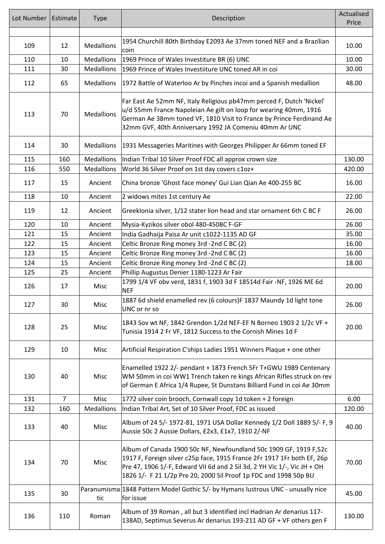| Lot Number | Estimate       | <b>Type</b>       | Description                                                                                                                                                                                                                                                                                  | Actualised<br>Price |
|------------|----------------|-------------------|----------------------------------------------------------------------------------------------------------------------------------------------------------------------------------------------------------------------------------------------------------------------------------------------|---------------------|
|            |                |                   |                                                                                                                                                                                                                                                                                              |                     |
| 109        | 12             | <b>Medallions</b> | 1954 Churchill 80th Birthday E2093 Ae 37mm toned NEF and a Brazilian<br>coin                                                                                                                                                                                                                 | 10.00               |
| 110        | 10             | <b>Medallions</b> | 1969 Prince of Wales Investiture BR (6) UNC                                                                                                                                                                                                                                                  | 10.00               |
| 111        | 30             | <b>Medallions</b> | 1969 Prince of Wales Investiiture UNC toned AR in coi                                                                                                                                                                                                                                        | 30.00               |
| 112        | 65             | <b>Medallions</b> | 1972 Battle of Waterloo Ar by Pinches incoi and a Spanish medallion                                                                                                                                                                                                                          | 48.00               |
| 113        | 70             | <b>Medallions</b> | Far East Ae 52mm NF, Italy Religious pb47mm perced F, Dutch 'Nickel'<br>u/d 55mm France Napoleian Ae gilt on loop for wearing 40mm, 1916<br>German Ae 38mm toned VF, 1810 Visit to France by Prince Ferdinand Ae<br>32mm GVF, 40th Anniversary 1992 JA Comeniu 40mm Ar UNC                   |                     |
| 114        | 30             | <b>Medallions</b> | 1931 Messageries Maritines with Georges Philipper Ar 66mm toned EF                                                                                                                                                                                                                           |                     |
| 115        | 160            | <b>Medallions</b> | Indian Tribal 10 Silver Proof FDC all approx crown size                                                                                                                                                                                                                                      | 130.00              |
| 116        | 550            | <b>Medallions</b> | World 36 Silver Proof on 1st day covers c1oz+                                                                                                                                                                                                                                                | 420.00              |
| 117        | 15             | Ancient           | China bronze 'Ghost face money' Gui Lian Qian Ae 400-255 BC                                                                                                                                                                                                                                  | 16.00               |
| 118        | 10             | Ancient           | 2 widows mites 1st century Ae                                                                                                                                                                                                                                                                | 22.00               |
| 119        | 12             | Ancient           | Greeklonia silver, 1/12 stater lion head and star ornament 6th C BC F                                                                                                                                                                                                                        | 26.00               |
| 120        | 10             | Ancient           | Mysia-Kyzikos silver obol 480-450BC F-GF                                                                                                                                                                                                                                                     | 26.00               |
| 121        | 15             | Ancient           | India Gadhaija Paisa Ar unit c1022-1135 AD GF                                                                                                                                                                                                                                                | 35.00               |
| 122        | 15             | Ancient           | Celtic Bronze Ring money 3rd -2nd C BC (2)                                                                                                                                                                                                                                                   | 16.00               |
| 123        | 15             | Ancient           | Celtic Bronze Ring money 3rd -2nd C BC (2)                                                                                                                                                                                                                                                   | 16.00               |
| 124        | 15             | Ancient           | Celtic Bronze Ring money 3rd -2nd C BC (2)                                                                                                                                                                                                                                                   | 18.00               |
| 125        | 25             | Ancient           | Phillip Augustus Denier 1180-1223 Ar Fair                                                                                                                                                                                                                                                    |                     |
| 126        | 17             | Misc              | 1799 1/4 VF obv verd, 1831 f, 1903 3d F 18514d Fair -NF, 1926 ME 6d<br><b>NEF</b>                                                                                                                                                                                                            | 20.00               |
| 127        | 30             | Misc              | 1887 6d shield enamelled rev (6 colours)F 1837 Maundy 1d light tone<br>UNC or nr so                                                                                                                                                                                                          | 26.00               |
| 128        | 25             | Misc              | 1843 Sov wt NF, 1842 Grendon 1/2d NEF-EF N Borneo 1903 2 1/2c VF +<br>Tunisia 1914 2 Fr VF, 1812 Success to the Cornish Mines 1d F                                                                                                                                                           | 20.00               |
| 129        | 10             | Misc              | Artificial Respiration C'ships Ladies 1951 Winners Plaque + one other                                                                                                                                                                                                                        |                     |
| 130        | 40             | Misc              | Enamelled 1922 2/- pendant + 1873 French 5Fr T+GWU 1989 Centenary<br>WM 50mm in coi WW1 Trench taken re kings African Rifles struck on rev<br>of German E Africa 1/4 Rupee, St Dunstans Billiard Fund in coi Ae 30mm                                                                         |                     |
| 131        | $\overline{7}$ | Misc              | 1772 silver coin brooch, Cornwall copy 1d token + 2 foreign                                                                                                                                                                                                                                  | 6.00                |
| 132        | 160            | Medallions        | Indian Tribal Art, Set of 10 Silver Proof, FDC as issued                                                                                                                                                                                                                                     | 120.00              |
| 133        | 40             | Misc              | Album of 24 5/- 1972-81, 1971 USA Dollar Kennedy 1/2 Doll 1889 5/- F, 9<br>Aussie 50c 2 Aussie Dollars, £2x3, £1x7, 1910 2/-NF                                                                                                                                                               | 40.00               |
| 134        | 70             | Misc              | Album of Canada 1900 50c NF, Newfoundland 50c 1909 GF, 1919 F,52c<br>1917 F, Foreign silver c25p face, 1915 France 2Fr 1917 1Fr both EF, 26p<br>Pre 47, 1906 1/-F, Edward VII 6d and 2 Sil 3d, 2 YH Vic 1/-, Vic JH + OH<br>1826 1/- F 21 1/2p Pre 20, 2000 Sil Proof 1p FDC and 1998 50p BU | 70.00               |
| 135        | 30             | tic               | Paranumisma 1848 Pattern Model Gothic 5/- by Hymans lustrous UNC - unusally nice<br>for issue                                                                                                                                                                                                | 45.00               |
| 136        | 110            | Roman             | Album of 39 Roman, all but 3 identified incl Hadrian Ar denarius 117-<br>138AD, Septimus Severus Ar denarius 193-211 AD GF + VF others gen F                                                                                                                                                 | 130.00              |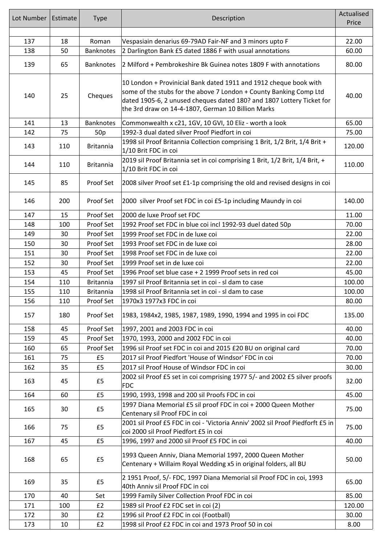| Lot Number | Estimate | <b>Type</b>      | Description                                                                                                                                                                                                                                                            | Actualised<br>Price |
|------------|----------|------------------|------------------------------------------------------------------------------------------------------------------------------------------------------------------------------------------------------------------------------------------------------------------------|---------------------|
|            |          |                  |                                                                                                                                                                                                                                                                        |                     |
| 137        | 18       | Roman            | Vespasiain denarius 69-79AD Fair-NF and 3 minors upto F                                                                                                                                                                                                                | 22.00               |
| 138        | 50       | <b>Banknotes</b> | 2 Darlington Bank £5 dated 1886 F with usual annotations                                                                                                                                                                                                               | 60.00               |
| 139        | 65       | <b>Banknotes</b> | 2 Milford + Pembrokeshire Bk Guinea notes 1809 F with annotations                                                                                                                                                                                                      | 80.00               |
| 140        | 25       | Cheques          | 10 London + Provinicial Bank dated 1911 and 1912 cheque book with<br>some of the stubs for the above 7 London + County Banking Comp Ltd<br>dated 1905-6, 2 unused cheques dated 180? and 1807 Lottery Ticket for<br>the 3rd draw on 14-4-1807, German 10 Billion Marks | 40.00               |
| 141        | 13       | <b>Banknotes</b> | Commonwealth x c21, 1GV, 10 GVI, 10 Eliz - worth a look                                                                                                                                                                                                                | 65.00               |
| 142        | 75       | 50 <sub>p</sub>  | 1992-3 dual dated silver Proof Piedfort in coi                                                                                                                                                                                                                         | 75.00               |
| 143        | 110      | <b>Britannia</b> | 1998 sil Proof Britannia Collection comprising 1 Brit, 1/2 Brit, 1/4 Brit +<br>1/10 Brit FDC in coi                                                                                                                                                                    | 120.00              |
| 144        | 110      | <b>Britannia</b> | 2019 sil Proof Britannia set in coi comprising 1 Brit, 1/2 Brit, 1/4 Brit, +<br>1/10 Brit FDC in coi                                                                                                                                                                   | 110.00              |
| 145        | 85       | Proof Set        | 2008 silver Proof set £1-1p comprising the old and revised designs in coi                                                                                                                                                                                              |                     |
| 146        | 200      | Proof Set        | 2000 silver Proof set FDC in coi £5-1p including Maundy in coi                                                                                                                                                                                                         | 140.00              |
| 147        | 15       | Proof Set        | 2000 de luxe Proof set FDC                                                                                                                                                                                                                                             | 11.00               |
| 148        | 100      | Proof Set        | 1992 Proof set FDC in blue coi incl 1992-93 duel dated 50p                                                                                                                                                                                                             | 70.00               |
| 149        | 30       | Proof Set        | 1999 Proof set FDC in de luxe coi                                                                                                                                                                                                                                      | 22.00               |
| 150        | 30       | Proof Set        | 1993 Proof set FDC in de luxe coi                                                                                                                                                                                                                                      | 28.00               |
| 151        | 30       | Proof Set        | 1998 Proof set FDC in de luxe coi                                                                                                                                                                                                                                      | 22.00               |
| 152        | 30       | Proof Set        | 1999 Proof set in de luxe coi                                                                                                                                                                                                                                          | 22.00               |
| 153        | 45       | Proof Set        | 1996 Proof set blue case + 2 1999 Proof sets in red coi                                                                                                                                                                                                                | 45.00               |
| 154        | 110      | <b>Britannia</b> | 1997 sil Proof Britannia set in coi - sl dam to case                                                                                                                                                                                                                   | 100.00              |
| 155        | 110      | <b>Britannia</b> | 1998 sil Proof Britannia set in coi - sl dam to case                                                                                                                                                                                                                   | 100.00              |
| 156        | 110      | Proof Set        | 1970x3 1977x3 FDC in coi                                                                                                                                                                                                                                               | 80.00               |
| 157        | 180      | Proof Set        | 1983, 1984x2, 1985, 1987, 1989, 1990, 1994 and 1995 in coi FDC                                                                                                                                                                                                         | 135.00              |
| 158        | 45       | Proof Set        | 1997, 2001 and 2003 FDC in coi                                                                                                                                                                                                                                         | 40.00               |
| 159        | 45       | Proof Set        | 1970, 1993, 2000 and 2002 FDC in coi                                                                                                                                                                                                                                   | 40.00               |
| 160        | 65       | Proof Set        | 1996 sil Proof set FDC in coi and 2015 £20 BU on original card                                                                                                                                                                                                         | 70.00               |
| 161        | 75       | £5               | 2017 sil Proof Piedfort 'House of Windsor' FDC in coi                                                                                                                                                                                                                  | 70.00               |
| 162        | 35       | £5               | 2017 sil Proof House of Windsor FDC in coi                                                                                                                                                                                                                             | 30.00               |
| 163        | 45       | £5               | 2002 sil Proof £5 set in coi comprising 1977 5/- and 2002 £5 silver proofs<br>FDC                                                                                                                                                                                      | 32.00               |
| 164        | 60       | £5               | 1990, 1993, 1998 and 200 sil Proofs FDC in coi                                                                                                                                                                                                                         | 45.00               |
| 165        | 30       | £5               | 1997 Diana Memorial £5 sil proof FDC in coi + 2000 Queen Mother<br>Centenary sil Proof FDC in coi                                                                                                                                                                      | 75.00               |
| 166        | 75       | £5               | 2001 sil Proof £5 FDC in coi - 'Victoria Anniv' 2002 sil Proof Piedforft £5 in<br>coi 2000 sil Proof Piedfort £5 in coi                                                                                                                                                | 75.00               |
| 167        | 45       | £5               | 1996, 1997 and 2000 sil Proof £5 FDC in coi                                                                                                                                                                                                                            | 40.00               |
| 168        | 65       | £5               | 1993 Queen Anniv, Diana Memorial 1997, 2000 Queen Mother<br>Centenary + Willaim Royal Wedding x5 in original folders, all BU                                                                                                                                           | 50.00               |
| 169        | 35       | £5               | 2 1951 Proof, 5/- FDC, 1997 Diana Memorial sil Proof FDC in coi, 1993<br>40th Anniv sil Proof FDC in coi                                                                                                                                                               | 65.00               |
| 170        | 40       | Set              | 1999 Family Silver Collection Proof FDC in coi                                                                                                                                                                                                                         | 85.00               |
| 171        | 100      | E2               | 1989 sil Proof £2 FDC set in coi (2)                                                                                                                                                                                                                                   | 120.00              |
| 172        | 30       | £2               | 1996 sil Proof £2 FDC in coi (Football)                                                                                                                                                                                                                                | 30.00               |
| 173        | 10       | E2               | 1998 sil Proof £2 FDC in coi and 1973 Proof 50 in coi                                                                                                                                                                                                                  | 8.00                |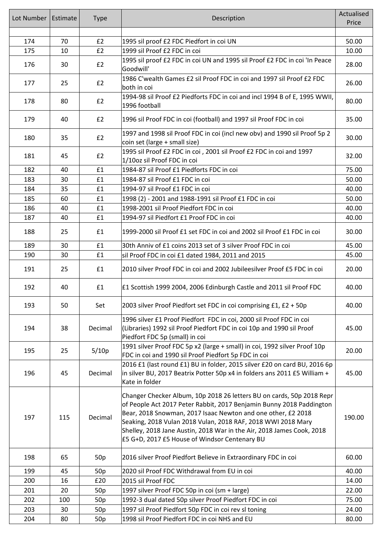| Lot Number | Estimate | <b>Type</b>     | Description                                                                                                                                                                                                                                                                                                                                                                                             | Actualised<br>Price |
|------------|----------|-----------------|---------------------------------------------------------------------------------------------------------------------------------------------------------------------------------------------------------------------------------------------------------------------------------------------------------------------------------------------------------------------------------------------------------|---------------------|
|            |          |                 |                                                                                                                                                                                                                                                                                                                                                                                                         |                     |
| 174        | 70       | £2              | 1995 sil proof £2 FDC Piedfort in coi UN                                                                                                                                                                                                                                                                                                                                                                | 50.00               |
| 175        | 10       | £2              | 1999 sil Proof £2 FDC in coi                                                                                                                                                                                                                                                                                                                                                                            | 10.00               |
| 176        | 30       | E2              | 1995 sil proof £2 FDC in coi UN and 1995 sil Proof £2 FDC in coi 'In Peace<br>Goodwill'                                                                                                                                                                                                                                                                                                                 | 28.00               |
| 177        | 25       | £2              | 1986 C'wealth Games £2 sil Proof FDC in coi and 1997 sil Proof £2 FDC<br>both in coi                                                                                                                                                                                                                                                                                                                    | 26.00               |
| 178        | 80       | £2              | 1994-98 sil Proof £2 Piedforts FDC in coi and incl 1994 B of E, 1995 WWII,<br>1996 football                                                                                                                                                                                                                                                                                                             | 80.00               |
| 179        | 40       | E2              | 1996 sil Proof FDC in coi (football) and 1997 sil Proof FDC in coi                                                                                                                                                                                                                                                                                                                                      | 35.00               |
| 180        | 35       | £2              | 1997 and 1998 sil Proof FDC in coi (incl new obv) and 1990 sil Proof 5p 2<br>coin set (large + small size)                                                                                                                                                                                                                                                                                              | 30.00               |
| 181        | 45       | E2              | 1995 sil Proof £2 FDC in coi, 2001 sil Proof £2 FDC in coi and 1997<br>1/10oz sil Proof FDC in coi                                                                                                                                                                                                                                                                                                      | 32.00               |
| 182        | 40       | £1              | 1984-87 sil Proof £1 Piedforts FDC in coi                                                                                                                                                                                                                                                                                                                                                               | 75.00               |
| 183        | 30       | £1              | 1984-87 sil Proof £1 FDC in coi                                                                                                                                                                                                                                                                                                                                                                         | 50.00               |
| 184        | 35       | £1              | 1994-97 sil Proof £1 FDC in coi                                                                                                                                                                                                                                                                                                                                                                         | 40.00               |
| 185        | 60       | £1              | 1998 (2) - 2001 and 1988-1991 sil Proof £1 FDC in coi                                                                                                                                                                                                                                                                                                                                                   | 50.00               |
| 186        | 40       | £1              | 1998-2001 sil Proof Piedfort FDC in coi                                                                                                                                                                                                                                                                                                                                                                 | 40.00               |
| 187        | 40       | £1              | 1994-97 sil Piedfort £1 Proof FDC in coi                                                                                                                                                                                                                                                                                                                                                                | 40.00               |
| 188        | 25       | £1              | 1999-2000 sil Proof £1 set FDC in coi and 2002 sil Proof £1 FDC in coi                                                                                                                                                                                                                                                                                                                                  | 30.00               |
| 189        | 30       | £1              | 30th Anniv of £1 coins 2013 set of 3 silver Proof FDC in coi                                                                                                                                                                                                                                                                                                                                            | 45.00               |
| 190        | 30       | £1              | sil Proof FDC in coi £1 dated 1984, 2011 and 2015                                                                                                                                                                                                                                                                                                                                                       | 45.00               |
| 191        | 25       | £1              | 2010 silver Proof FDC in coi and 2002 Jubileesilver Proof £5 FDC in coi                                                                                                                                                                                                                                                                                                                                 | 20.00               |
| 192        | 40       | £1              | £1 Scottish 1999 2004, 2006 Edinburgh Castle and 2011 sil Proof FDC                                                                                                                                                                                                                                                                                                                                     | 40.00               |
| 193        | 50       | Set             | 2003 silver Proof Piedfort set FDC in coi comprising £1, £2 + 50p                                                                                                                                                                                                                                                                                                                                       | 40.00               |
| 194        | 38       | Decimal         | 1996 silver £1 Proof Piedfort FDC in coi, 2000 sil Proof FDC in coi<br>(Libraries) 1992 sil Proof Piedfort FDC in coi 10p and 1990 sil Proof<br>Piedfort FDC 5p (small) in coi                                                                                                                                                                                                                          | 45.00               |
| 195        | 25       | 5/10p           | 1991 silver Proof FDC 5p x2 (large + small) in coi, 1992 silver Proof 10p<br>FDC in coi and 1990 sil Proof Piedfort 5p FDC in coi                                                                                                                                                                                                                                                                       | 20.00               |
| 196        | 45       | Decimal         | 2016 £1 (last round £1) BU in folder, 2015 silver £20 on card BU, 2016 6p<br>in silver BU, 2017 Beatrix Potter 50p x4 in folders ans 2011 £5 William +<br>Kate in folder                                                                                                                                                                                                                                | 45.00               |
| 197        | 115      | Decimal         | Changer Checker Album, 10p 2018 26 letters BU on cards, 50p 2018 Repr<br>of People Act 2017 Peter Rabbit, 2017 Benjamin Bunny 2018 Paddington<br>Bear, 2018 Snowman, 2017 Isaac Newton and one other, £2 2018<br>Seaking, 2018 Vulan 2018 Vulan, 2018 RAF, 2018 WWI 2018 Mary<br>Shelley, 2018 Jane Austin, 2018 War in the Air, 2018 James Cook, 2018<br>£5 G+D, 2017 £5 House of Windsor Centenary BU | 190.00              |
| 198        | 65       | 50 <sub>p</sub> | 2016 silver Proof Piedfort Believe in Extraordinary FDC in coi                                                                                                                                                                                                                                                                                                                                          | 60.00               |
| 199        | 45       | 50 <sub>p</sub> | 2020 sil Proof FDC Withdrawal from EU in coi                                                                                                                                                                                                                                                                                                                                                            | 40.00               |
| 200        | 16       | £20             | 2015 sil Proof FDC                                                                                                                                                                                                                                                                                                                                                                                      | 14.00               |
| 201        | 20       | 50 <sub>p</sub> | 1997 silver Proof FDC 50p in coi (sm + large)                                                                                                                                                                                                                                                                                                                                                           | 22.00               |
| 202        | 100      | 50 <sub>p</sub> | 1992-3 dual dated 50p silver Proof Piedfort FDC in coi                                                                                                                                                                                                                                                                                                                                                  | 75.00               |
| 203        | 30       | 50 <sub>p</sub> | 1997 sil Proof Piedfort 50p FDC in coi rev sl toning                                                                                                                                                                                                                                                                                                                                                    | 24.00               |
| 204        | 80       | 50 <sub>p</sub> | 1998 sil Proof Piedfort FDC in coi NHS and EU                                                                                                                                                                                                                                                                                                                                                           | 80.00               |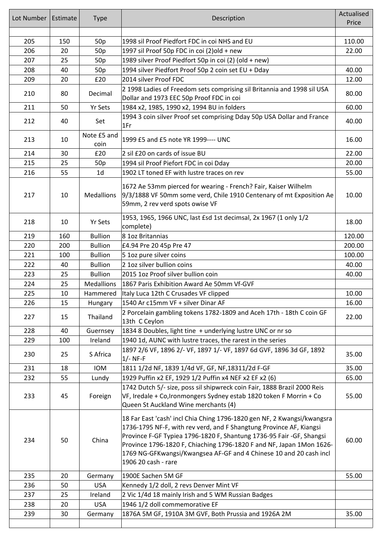| Lot Number | Estimate | <b>Type</b>         | Description                                                                                                                                                                                                                                                                                                                                                                                 | Actualised<br>Price |
|------------|----------|---------------------|---------------------------------------------------------------------------------------------------------------------------------------------------------------------------------------------------------------------------------------------------------------------------------------------------------------------------------------------------------------------------------------------|---------------------|
|            |          |                     |                                                                                                                                                                                                                                                                                                                                                                                             |                     |
| 205        | 150      | 50p                 | 1998 sil Proof Piedfort FDC in coi NHS and EU                                                                                                                                                                                                                                                                                                                                               | 110.00              |
| 206        | 20       | 50 <sub>p</sub>     | 1997 sil Proof 50p FDC in coi (2)old + new                                                                                                                                                                                                                                                                                                                                                  | 22.00               |
| 207        | 25       | 50 <sub>p</sub>     | 1989 silver Proof Piedfort 50p in coi (2) (old + new)                                                                                                                                                                                                                                                                                                                                       |                     |
| 208        | 40       | 50 <sub>p</sub>     | 1994 silver Piedfort Proof 50p 2 coin set EU + Dday                                                                                                                                                                                                                                                                                                                                         | 40.00               |
| 209        | 20       | £20                 | 2014 silver Proof FDC                                                                                                                                                                                                                                                                                                                                                                       | 12.00               |
| 210        | 80       | Decimal             | 2 1998 Ladies of Freedom sets comprising sil Britannia and 1998 sil USA<br>Dollar and 1973 EEC 50p Proof FDC in coi                                                                                                                                                                                                                                                                         | 80.00               |
| 211        | 50       | <b>Yr Sets</b>      | 1984 x2, 1985, 1990 x2, 1994 BU in folders                                                                                                                                                                                                                                                                                                                                                  | 60.00               |
| 212        | 40       | Set                 | 1994 3 coin silver Proof set comprising Dday 50p USA Dollar and France<br>1Fr                                                                                                                                                                                                                                                                                                               | 40.00               |
| 213        | 10       | Note £5 and<br>coin | 1999 £5 and £5 note YR 1999---- UNC                                                                                                                                                                                                                                                                                                                                                         | 16.00               |
| 214        | 30       | £20                 | 2 sil £20 on cards of issue BU                                                                                                                                                                                                                                                                                                                                                              | 22.00               |
| 215        | 25       | 50 <sub>p</sub>     | 1994 sil Proof Piefort FDC in coi Dday                                                                                                                                                                                                                                                                                                                                                      | 20.00               |
| 216        | 55       | 1 <sub>d</sub>      | 1902 LT toned EF with lustre traces on rev                                                                                                                                                                                                                                                                                                                                                  | 55.00               |
| 217        | 10       | <b>Medallions</b>   | 1672 Ae 53mm pierced for wearing - French? Fair, Kaiser Wilhelm<br>9/3/1888 VF 50mm some verd, Chile 1910 Centenary of mt Exposition Ae<br>59mm, 2 rev verd spots owise VF                                                                                                                                                                                                                  | 10.00               |
| 218        | 10       | <b>Yr Sets</b>      | 1953, 1965, 1966 UNC, last £sd 1st decimsal, 2x 1967 (1 only 1/2<br>complete)                                                                                                                                                                                                                                                                                                               | 18.00               |
| 219        | 160      | <b>Bullion</b>      | 8 1oz Britannias                                                                                                                                                                                                                                                                                                                                                                            | 120.00              |
| 220        | 200      | <b>Bullion</b>      | £4.94 Pre 20 45p Pre 47                                                                                                                                                                                                                                                                                                                                                                     | 200.00              |
| 221        | 100      | <b>Bullion</b>      | 5 1oz pure silver coins                                                                                                                                                                                                                                                                                                                                                                     | 100.00              |
| 222        | 40       | <b>Bullion</b>      | 2 1oz silver bullion coins                                                                                                                                                                                                                                                                                                                                                                  | 40.00               |
| 223        | 25       | <b>Bullion</b>      | 2015 1oz Proof silver bullion coin                                                                                                                                                                                                                                                                                                                                                          | 40.00               |
| 224        | 25       | <b>Medallions</b>   | 1867 Paris Exhibition Award Ae 50mm Vf-GVF                                                                                                                                                                                                                                                                                                                                                  |                     |
| 225        | 10       | Hammered            | Italy Luca 12th C Crusades VF clipped                                                                                                                                                                                                                                                                                                                                                       | 10.00               |
| 226        | 15       | Hungary             | 1540 Ar c15mm VF + silver Dinar AF                                                                                                                                                                                                                                                                                                                                                          | 16.00               |
| 227        | 15       | Thailand            | 2 Porcelain gambling tokens 1782-1809 and Aceh 17th - 18th C coin GF<br>13th C Ceylon                                                                                                                                                                                                                                                                                                       | 22.00               |
| 228        | 40       | Guernsey            | 1834 8 Doubles, light tine + underlying lustre UNC or nr so                                                                                                                                                                                                                                                                                                                                 |                     |
| 229        | 100      | Ireland             | 1940 1d, AUNC with lustre traces, the rarest in the series                                                                                                                                                                                                                                                                                                                                  |                     |
| 230        | 25       | S Africa            | 1897 2/6 VF, 1896 2/- VF, 1897 1/- VF, 1897 6d GVF, 1896 3d GF, 1892<br>$1/-$ NF-F                                                                                                                                                                                                                                                                                                          | 35.00               |
| 231        | 18       | <b>IOM</b>          | 1811 1/2d NF, 1839 1/4d VF, GF, NF, 18311/2d F-GF                                                                                                                                                                                                                                                                                                                                           | 35.00               |
| 232        | 55       | Lundy               | 1929 Puffin x2 EF, 1929 1/2 Puffin x4 NEF x2 EF x2 (6)                                                                                                                                                                                                                                                                                                                                      | 65.00               |
| 233        | 45       | Foreign             | 1742 Dutch 5/- size, poss sil shipwreck coin Fair, 1888 Brazil 2000 Reis<br>VF, Iredale + Co, Ironmongers Sydney estab 1820 token F Morrin + Co<br>Queen St Auckland Wine merchants (4)                                                                                                                                                                                                     | 55.00               |
| 234        | 50       | China               | 18 Far East 'cash' incl Chia Ching 1796-1820 gen NF, 2 Kwangsi/kwangsra<br>1736-1795 NF-F, with rev verd, and F Shangtung Province AF, Kiangsi<br>Province F-GF Typiea 1796-1820 F, Shantung 1736-95 Fair -GF, Shangsi<br>Province 1796-1820 F, Chiaching 1796-1820 F and NF, Japan 1Mon 1626-<br>1769 NG-GFKwangsi/Kwangsea AF-GF and 4 Chinese 10 and 20 cash incl<br>1906 20 cash - rare | 60.00               |
| 235        | 20       | Germany             | 1900E Sachen 5M GF                                                                                                                                                                                                                                                                                                                                                                          | 55.00               |
| 236        | 50       | <b>USA</b>          | Kennedy 1/2 doll, 2 revs Denver Mint VF                                                                                                                                                                                                                                                                                                                                                     |                     |
| 237        | 25       | Ireland             | 2 Vic 1/4d 18 mainly Irish and 5 WM Russian Badges                                                                                                                                                                                                                                                                                                                                          |                     |
| 238        | 20       | <b>USA</b>          | 1946 1/2 doll commemorative EF                                                                                                                                                                                                                                                                                                                                                              |                     |
| 239        | 30       | Germany             | 1876A 5M GF, 1910A 3M GVF, Both Prussia and 1926A 2M                                                                                                                                                                                                                                                                                                                                        | 35.00               |
|            |          |                     |                                                                                                                                                                                                                                                                                                                                                                                             |                     |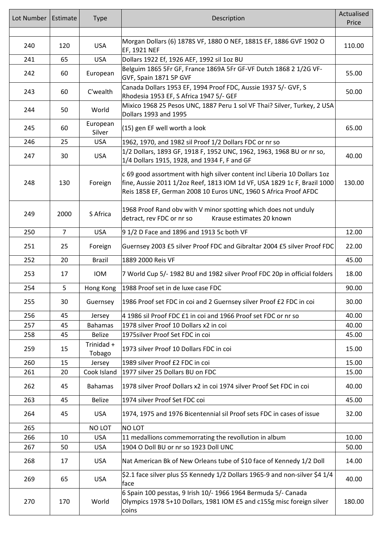| Lot Number | Estimate       | <b>Type</b>          | Description                                                                                                                                                                                                               | Actualised<br>Price |
|------------|----------------|----------------------|---------------------------------------------------------------------------------------------------------------------------------------------------------------------------------------------------------------------------|---------------------|
| 240        | 120            | <b>USA</b>           | Morgan Dollars (6) 1878S VF, 1880 O NEF, 1881S EF, 1886 GVF 1902 O<br>EF, 1921 NEF                                                                                                                                        | 110.00              |
| 241        | 65             | <b>USA</b>           | Dollars 1922 Ef, 1926 AEF, 1992 sil 1oz BU                                                                                                                                                                                |                     |
| 242        | 60             | European             | Belguim 1865 5Fr GF, France 1869A 5Fr GF-VF Dutch 1868 2 1/2G VF-<br>GVF, Spain 1871 5P GVF                                                                                                                               | 55.00               |
| 243        | 60             | C'wealth             | Canada Dollars 1953 EF, 1994 Proof FDC, Aussie 1937 5/- GVF, S<br>Rhodesia 1953 EF, S Africa 1947 5/- GEF                                                                                                                 | 50.00               |
| 244        | 50             | World                | Mixico 1968 25 Pesos UNC, 1887 Peru 1 sol VF Thai? Silver, Turkey, 2 USA<br>Dollars 1993 and 1995                                                                                                                         |                     |
| 245        | 60             | European<br>Silver   | (15) gen EF well worth a look                                                                                                                                                                                             | 65.00               |
| 246        | 25             | <b>USA</b>           | 1962, 1970, and 1982 sil Proof 1/2 Dollars FDC or nr so                                                                                                                                                                   |                     |
| 247        | 30             | <b>USA</b>           | 1/2 Dollars, 1893 GF, 1918 F, 1952 UNC, 1962, 1963, 1968 BU or nr so,<br>1/4 Dollars 1915, 1928, and 1934 F, F and GF                                                                                                     | 40.00               |
| 248        | 130            | Foreign              | c 69 good assortment with high silver content incl Liberia 10 Dollars 1oz<br>fine, Aussie 2011 1/2oz Reef, 1813 IOM 1d VF, USA 1829 1c F, Brazil 1000<br>Reis 1858 EF, German 2008 10 Euros UNC, 1960 S Africa Proof AFDC | 130.00              |
| 249        | 2000           | S Africa             | 1968 Proof Rand obv with V minor spotting which does not unduly<br>detract, rev FDC or nr so<br>Krause estimates 20 known                                                                                                 |                     |
| 250        | $\overline{7}$ | <b>USA</b>           | 91/2 D Face and 1896 and 1913 5c both VF                                                                                                                                                                                  | 12.00               |
|            |                |                      |                                                                                                                                                                                                                           |                     |
| 251        | 25             | Foreign              | Guernsey 2003 £5 silver Proof FDC and Gibraltar 2004 £5 silver Proof FDC                                                                                                                                                  | 22.00               |
| 252        | 20             | <b>Brazil</b>        | 1889 2000 Reis VF                                                                                                                                                                                                         | 45.00               |
| 253        | 17             | <b>IOM</b>           | 7 World Cup 5/- 1982 BU and 1982 silver Proof FDC 20p in official folders                                                                                                                                                 | 18.00               |
| 254        | 5              | Hong Kong            | 1988 Proof set in de luxe case FDC                                                                                                                                                                                        | 90.00               |
| 255        | 30             | Guernsey             | 1986 Proof set FDC in coi and 2 Guernsey silver Proof £2 FDC in coi                                                                                                                                                       | 30.00               |
| 256        | 45             | Jersey               | 4 1986 sil Proof FDC £1 in coi and 1966 Proof set FDC or nr so                                                                                                                                                            | 40.00               |
| 257        | 45             | <b>Bahamas</b>       | 1978 silver Proof 10 Dollars x2 in coi                                                                                                                                                                                    | 40.00               |
| 258        | 45             | <b>Belize</b>        | 1975 silver Proof Set FDC in coi                                                                                                                                                                                          | 45.00               |
| 259        | 15             | Trinidad +<br>Tobago | 1973 silver Proof 10 Dollars FDC in coi                                                                                                                                                                                   | 15.00               |
| 260        | 15             | Jersey               | 1989 silver Proof £2 FDC in coi                                                                                                                                                                                           | 15.00               |
| 261        | 20             | Cook Island          | 1977 silver 25 Dollars BU on FDC                                                                                                                                                                                          | 15.00               |
| 262        | 45             | <b>Bahamas</b>       | 1978 silver Proof Dollars x2 in coi 1974 silver Proof Set FDC in coi                                                                                                                                                      | 40.00               |
| 263        | 45             | <b>Belize</b>        | 1974 silver Proof Set FDC coi                                                                                                                                                                                             | 45.00               |
| 264        | 45             | <b>USA</b>           | 1974, 1975 and 1976 Bicentennial sil Proof sets FDC in cases of issue                                                                                                                                                     | 32.00               |
| 265        |                | NO LOT               | NO LOT                                                                                                                                                                                                                    |                     |
| 266        | 10             | <b>USA</b>           | 11 medallions commemorrating the revollution in album                                                                                                                                                                     | 10.00               |
| 267        | 50             | <b>USA</b>           | 1904 O Doll BU or nr so 1923 Doll UNC                                                                                                                                                                                     | 50.00               |
| 268        | 17             | <b>USA</b>           | Nat American Bk of New Orleans tube of \$10 face of Kennedy 1/2 Doll                                                                                                                                                      | 14.00               |
| 269        | 65             | <b>USA</b>           | \$2.1 face silver plus \$5 Kennedy 1/2 Dollars 1965-9 and non-silver \$4 1/4<br>face                                                                                                                                      | 40.00               |
| 270        | 170            | World                | 6 Spain 100 pesstas, 9 Irish 10/- 1966 1964 Bermuda 5/- Canada<br>Olympics 1978 5+10 Dollars, 1981 IOM £5 and c155g misc foreign silver<br>coins                                                                          | 180.00              |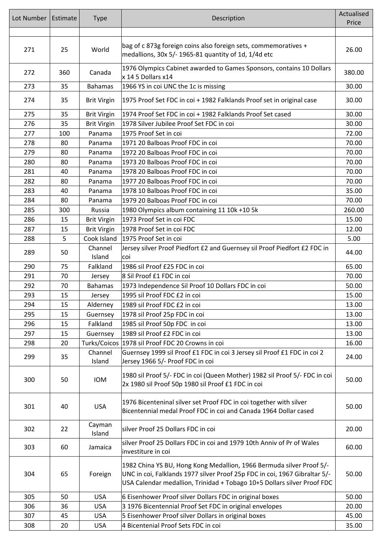| Lot Number | Estimate | <b>Type</b>        | Description                                                                                                                                                                                                                   | Actualised<br>Price |
|------------|----------|--------------------|-------------------------------------------------------------------------------------------------------------------------------------------------------------------------------------------------------------------------------|---------------------|
|            |          |                    |                                                                                                                                                                                                                               |                     |
| 271        | 25       | World              | bag of c 873g foreign coins also foreign sets, commemoratives +<br>medallions, 30x 5/- 1965-81 quantity of 1d, 1/4d etc                                                                                                       | 26.00               |
| 272        | 360      | Canada             | 1976 Olympics Cabinet awarded to Games Sponsors, contains 10 Dollars<br>x 14 5 Dollars x14                                                                                                                                    | 380.00              |
| 273        | 35       | <b>Bahamas</b>     | 1966 YS in coi UNC the 1c is missing                                                                                                                                                                                          | 30.00               |
| 274        | 35       | <b>Brit Virgin</b> | 1975 Proof Set FDC in coi + 1982 Falklands Proof set in original case                                                                                                                                                         | 30.00               |
| 275        | 35       | <b>Brit Virgin</b> | 1974 Proof Set FDC in coi + 1982 Falklands Proof Set cased                                                                                                                                                                    | 30.00               |
| 276        | 35       | <b>Brit Virgin</b> | 1978 Silver Jubilee Proof Set FDC in coi                                                                                                                                                                                      | 30.00               |
| 277        | 100      | Panama             | 1975 Proof Set in coi                                                                                                                                                                                                         | 72.00               |
| 278        | 80       | Panama             | 1971 20 Balboas Proof FDC in coi                                                                                                                                                                                              | 70.00               |
| 279        | 80       | Panama             | 1972 20 Balboas Proof FDC in coi                                                                                                                                                                                              | 70.00               |
| 280        | 80       | Panama             | 1973 20 Balboas Proof FDC in coi                                                                                                                                                                                              | 70.00               |
| 281        | 40       | Panama             | 1978 20 Balboas Proof FDC in coi                                                                                                                                                                                              | 70.00               |
| 282        | 80       | Panama             | 1977 20 Balboas Proof FDC in coi                                                                                                                                                                                              | 70.00               |
| 283        | 40       | Panama             | 1978 10 Balboas Proof FDC in coi                                                                                                                                                                                              | 35.00               |
| 284        | 80       | Panama             | 1979 20 Balboas Proof FDC in coi                                                                                                                                                                                              | 70.00               |
| 285        | 300      | Russia             | 1980 Olympics album containing 11 10k +10 5k                                                                                                                                                                                  | 260.00              |
| 286        | 15       | <b>Brit Virgin</b> | 1973 Proof Set in coi FDC                                                                                                                                                                                                     | 15.00               |
| 287        | 15       |                    | 1978 Proof Set in coi FDC                                                                                                                                                                                                     | 12.00               |
|            |          | <b>Brit Virgin</b> |                                                                                                                                                                                                                               |                     |
| 288        | 5        | Cook Island        | 1975 Proof Set in coi                                                                                                                                                                                                         | 5.00                |
| 289        | 50       | Channel<br>Island  | Jersey silver Proof Piedfort £2 and Guernsey sil Proof Piedfort £2 FDC in<br>coi                                                                                                                                              | 44.00               |
| 290        | 75       | Falkland           | 1986 sil Proof £25 FDC in coi                                                                                                                                                                                                 | 65.00               |
| 291        | 70       | Jersey             | 8 Sil Proof £1 FDC in coi                                                                                                                                                                                                     | 70.00               |
| 292        | 70       | <b>Bahamas</b>     | 1973 Independence Sil Proof 10 Dollars FDC in coi                                                                                                                                                                             | 50.00               |
| 293        | 15       | Jersey             | 1995 sil Proof FDC £2 in coi                                                                                                                                                                                                  | 15.00               |
| 294        | 15       | Alderney           | 1989 sil Proof FDC £2 in coi                                                                                                                                                                                                  | 13.00               |
| 295        | 15       | Guernsey           | 1978 sil Proof 25p FDC in coi                                                                                                                                                                                                 | 13.00               |
| 296        | 15       | Falkland           | 1985 sil Proof 50p FDC in coi                                                                                                                                                                                                 | 13.00               |
| 297        | 15       | Guernsey           | 1989 sil Proof £2 FDC in coi                                                                                                                                                                                                  | 13.00               |
| 298        | 20       |                    | Turks/Coicos 1978 sil Proof FDC 20 Crowns in coi                                                                                                                                                                              | 16.00               |
| 299        | 35       | Channel<br>Island  | Guernsey 1999 sil Proof £1 FDC in coi 3 Jersey sil Proof £1 FDC in coi 2<br>Jersey 1966 5/- Proof FDC in coi                                                                                                                  | 24.00               |
| 300        | 50       | <b>IOM</b>         | 1980 sil Proof 5/- FDC in coi (Queen Mother) 1982 sil Proof 5/- FDC in coi<br>2x 1980 sil Proof 50p 1980 sil Proof £1 FDC in coi                                                                                              | 50.00               |
| 301        | 40       | <b>USA</b>         | 1976 Bicenteninal silver set Proof FDC in coi together with silver<br>Bicentennial medal Proof FDC in coi and Canada 1964 Dollar cased                                                                                        | 50.00               |
| 302        | 22       | Cayman<br>Island   | silver Proof 25 Dollars FDC in coi                                                                                                                                                                                            | 20.00               |
| 303        | 60       | Jamaica            | silver Proof 25 Dollars FDC in coi and 1979 10th Anniv of Pr of Wales<br>investiture in coi                                                                                                                                   | 60.00               |
| 304        | 65       | Foreign            | 1982 China YS BU, Hong Kong Medallion, 1966 Bermuda silver Proof 5/-<br>UNC in coi, Falklands 1977 silver Proof 25p FDC in coi, 1967 Gibraltar 5/-<br>USA Calendar medallion, Trinidad + Tobago 10+5 Dollars silver Proof FDC | 50.00               |
| 305        | 50       | <b>USA</b>         | 6 Eisenhower Proof silver Dollars FDC in original boxes                                                                                                                                                                       | 50.00               |
| 306        | 36       | <b>USA</b>         | 3 1976 Bicentennial Proof Set FDC in original envelopes                                                                                                                                                                       | 20.00               |
| 307        | 45       | <b>USA</b>         | 5 Eisenhower Proof silver Dollars in original boxes                                                                                                                                                                           | 45.00               |
| 308        | 20       | <b>USA</b>         | 4 Bicentenial Proof Sets FDC in coi                                                                                                                                                                                           | 35.00               |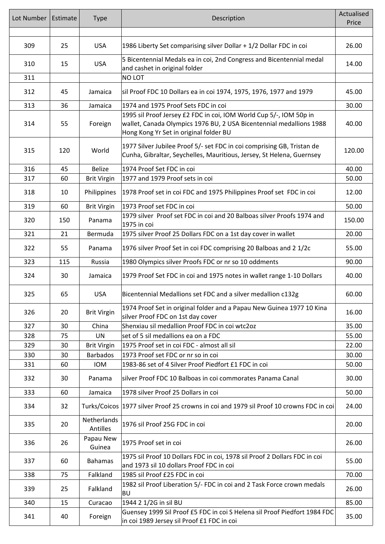| Lot Number | Estimate | <b>Type</b>             | Description                                                                                                                                                                         | Actualised<br>Price |
|------------|----------|-------------------------|-------------------------------------------------------------------------------------------------------------------------------------------------------------------------------------|---------------------|
|            |          |                         |                                                                                                                                                                                     |                     |
| 309        | 25       | <b>USA</b>              | 1986 Liberty Set comparising silver Dollar + 1/2 Dollar FDC in coi                                                                                                                  | 26.00               |
| 310<br>311 | 15       | <b>USA</b>              | 5 Bicentennial Medals ea in coi, 2nd Congress and Bicentennial medal<br>and cashet in original folder<br>NO LOT                                                                     | 14.00               |
| 312        | 45       | Jamaica                 | sil Proof FDC 10 Dollars ea in coi 1974, 1975, 1976, 1977 and 1979                                                                                                                  | 45.00               |
| 313        | 36       | Jamaica                 | 1974 and 1975 Proof Sets FDC in coi                                                                                                                                                 | 30.00               |
| 314        | 55       | Foreign                 | 1995 sil Proof Jersey £2 FDC in coi, IOM World Cup 5/-, IOM 50p in<br>wallet, Canada Olympics 1976 BU, 2 USA Bicentennial medallions 1988<br>Hong Kong Yr Set in original folder BU | 40.00               |
| 315        | 120      | World                   | 1977 Silver Jubilee Proof 5/- set FDC in coi comprising GB, Tristan de<br>Cunha, Gibraltar, Seychelles, Mauritious, Jersey, St Helena, Guernsey                                     | 120.00              |
| 316        | 45       | <b>Belize</b>           | 1974 Proof Set FDC in coi                                                                                                                                                           | 40.00               |
| 317        | 60       | <b>Brit Virgin</b>      | 1977 and 1979 Proof sets in coi                                                                                                                                                     | 50.00               |
| 318        | 10       | Philippines             | 1978 Proof set in coi FDC and 1975 Philippines Proof set FDC in coi                                                                                                                 | 12.00               |
| 319        | 60       | <b>Brit Virgin</b>      | 1973 Proof set FDC in coi                                                                                                                                                           | 50.00               |
| 320        | 150      | Panama                  | 1979 silver Proof set FDC in coi and 20 Balboas silver Proofs 1974 and<br>1975 in coi                                                                                               | 150.00              |
| 321        | 21       | Bermuda                 | 1975 silver Proof 25 Dollars FDC on a 1st day cover in wallet                                                                                                                       | 20.00               |
| 322        | 55       | Panama                  | 1976 silver Proof Set in coi FDC comprising 20 Balboas and 2 1/2c                                                                                                                   | 55.00               |
| 323        | 115      | Russia                  | 1980 Olympics silver Proofs FDC or nr so 10 oddments                                                                                                                                | 90.00               |
| 324        | 30       | Jamaica                 | 1979 Proof Set FDC in coi and 1975 notes in wallet range 1-10 Dollars                                                                                                               | 40.00               |
| 325        | 65       | <b>USA</b>              | Bicentennial Medallions set FDC and a silver medallion c132g                                                                                                                        | 60.00               |
| 326        | 20       | <b>Brit Virgin</b>      | 1974 Proof Set in original folder and a Papau New Guinea 1977 10 Kina<br>silver Proof FDC on 1st day cover                                                                          | 16.00               |
| 327        | 30       | China                   | Shenxiau sil medallion Proof FDC in coi wtc2oz                                                                                                                                      | 35.00               |
| 328        | 75       | <b>UN</b>               | set of 5 sil medallions ea on a FDC                                                                                                                                                 | 55.00               |
| 329        | 30       | <b>Brit Virgin</b>      | 1975 Proof set in coi FDC - almost all sil                                                                                                                                          | 22.00               |
| 330        | 30       | <b>Barbados</b>         | 1973 Proof set FDC or nr so in coi                                                                                                                                                  | 30.00               |
| 331        | 60       | <b>IOM</b>              | 1983-86 set of 4 Silver Proof Piedfort £1 FDC in coi                                                                                                                                | 50.00               |
| 332        | 30       | Panama                  | silver Proof FDC 10 Balboas in coi commorates Panama Canal                                                                                                                          | 30.00               |
| 333        | 60       | Jamaica                 | 1978 silver Proof 25 Dollars in coi                                                                                                                                                 | 50.00               |
| 334        | 32       |                         | Turks/Coicos   1977 silver Proof 25 crowns in coi and 1979 sil Proof 10 crowns FDC in coi                                                                                           | 24.00               |
| 335        | 20       | Netherlands<br>Antilles | 1976 sil Proof 25G FDC in coi                                                                                                                                                       | 20.00               |
| 336        | 26       | Papau New<br>Guinea     | 1975 Proof set in coi                                                                                                                                                               | 26.00               |
| 337        | 60       | <b>Bahamas</b>          | 1975 sil Proof 10 Dollars FDC in coi, 1978 sil Proof 2 Dollars FDC in coi<br>and 1973 sil 10 dollars Proof FDC in coi                                                               | 55.00               |
| 338        | 75       | Falkland                | 1985 sil Proof £25 FDC in coi                                                                                                                                                       | 70.00               |
| 339        | 25       | Falkland                | 1982 sil Proof Liberation 5/- FDC in coi and 2 Task Force crown medals<br><b>BU</b>                                                                                                 | 26.00               |
| 340        | 15       | Curacao                 | 1944 2 1/2G in sil BU                                                                                                                                                               | 85.00               |
| 341        | 40       | Foreign                 | Guensey 1999 Sil Proof £5 FDC in coi S Helena sil Proof Piedfort 1984 FDC<br>in coi 1989 Jersey sil Proof £1 FDC in coi                                                             | 35.00               |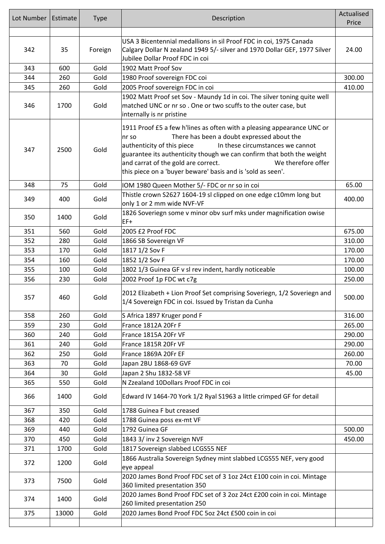| Lot Number | Estimate | <b>Type</b> | Description                                                                                                                                                                                                                                                                                                                                                                                          | Actualised<br>Price |
|------------|----------|-------------|------------------------------------------------------------------------------------------------------------------------------------------------------------------------------------------------------------------------------------------------------------------------------------------------------------------------------------------------------------------------------------------------------|---------------------|
|            |          |             |                                                                                                                                                                                                                                                                                                                                                                                                      |                     |
| 342        | 35       | Foreign     | USA 3 Bicentennial medallions in sil Proof FDC in coi, 1975 Canada<br>Calgary Dollar N zealand 1949 5/- silver and 1970 Dollar GEF, 1977 Silver<br>Jubilee Dollar Proof FDC in coi                                                                                                                                                                                                                   | 24.00               |
| 343        | 600      | Gold        | 1902 Matt Proof Sov                                                                                                                                                                                                                                                                                                                                                                                  |                     |
| 344        | 260      | Gold        | 1980 Proof sovereign FDC coi                                                                                                                                                                                                                                                                                                                                                                         | 300.00              |
| 345        | 260      | Gold        | 2005 Proof sovereign FDC in coi                                                                                                                                                                                                                                                                                                                                                                      | 410.00              |
| 346        | 1700     | Gold        | 1902 Matt Proof set Sov - Maundy 1d in coi. The silver toning quite well<br>matched UNC or nr so. One or two scuffs to the outer case, but<br>internally is nr pristine                                                                                                                                                                                                                              |                     |
| 347        | 2500     | Gold        | 1911 Proof £5 a few h'lines as often with a pleasing appearance UNC or<br>There has been a doubt expressed about the<br>nr so<br>authenticity of this piece<br>In these circumstances we cannot<br>guarantee its authenticity though we can confirm that both the weight<br>and carrat of the gold are correct.<br>We therefore offer<br>this piece on a 'buyer beware' basis and is 'sold as seen'. |                     |
| 348        | 75       | Gold        | IOM 1980 Queen Mother 5/- FDC or nr so in coi                                                                                                                                                                                                                                                                                                                                                        | 65.00               |
| 349        | 400      | Gold        | Thistle crown S2627 1604-19 sl clipped on one edge c10mm long but<br>only 1 or 2 mm wide NVF-VF                                                                                                                                                                                                                                                                                                      | 400.00              |
| 350        | 1400     | Gold        | 1826 Soveriegn some v minor obv surf mks under magnification owise<br>EF+                                                                                                                                                                                                                                                                                                                            |                     |
| 351        | 560      | Gold        | 2005 £2 Proof FDC                                                                                                                                                                                                                                                                                                                                                                                    | 675.00              |
| 352        | 280      | Gold        | 1866 SB Sovereign VF                                                                                                                                                                                                                                                                                                                                                                                 | 310.00              |
| 353        | 170      | Gold        | 1817 1/2 Sov F                                                                                                                                                                                                                                                                                                                                                                                       | 170.00              |
| 354        | 160      | Gold        | 1852 1/2 Sov F                                                                                                                                                                                                                                                                                                                                                                                       | 170.00              |
| 355        | 100      | Gold        | 1802 1/3 Guinea GF v sl rev indent, hardly noticeable                                                                                                                                                                                                                                                                                                                                                | 100.00              |
| 356        | 230      | Gold        | 2002 Proof 1p FDC wt c7g                                                                                                                                                                                                                                                                                                                                                                             | 250.00              |
| 357        | 460      | Gold        | 2012 Elizabeth + Lion Proof Set comprising Soveriegn, 1/2 Soveriegn and<br>1/4 Sovereign FDC in coi. Issued by Tristan da Cunha                                                                                                                                                                                                                                                                      | 500.00              |
| 358        | 260      | Gold        | S Africa 1897 Kruger pond F                                                                                                                                                                                                                                                                                                                                                                          | 316.00              |
| 359        | 230      | Gold        | France 1812A 20Fr F                                                                                                                                                                                                                                                                                                                                                                                  | 265.00              |
| 360        | 240      | Gold        | France 1815A 20Fr VF                                                                                                                                                                                                                                                                                                                                                                                 | 290.00              |
| 361        | 240      | Gold        | France 1815R 20Fr VF                                                                                                                                                                                                                                                                                                                                                                                 | 290.00              |
| 362        | 250      | Gold        | France 1869A 20Fr EF                                                                                                                                                                                                                                                                                                                                                                                 | 260.00              |
| 363        | 70       | Gold        | Japan 2BU 1868-69 GVF                                                                                                                                                                                                                                                                                                                                                                                | 70.00               |
| 364        | 30       | Gold        | Japan 2 Shu 1832-58 VF                                                                                                                                                                                                                                                                                                                                                                               | 45.00               |
| 365        | 550      | Gold        | N Zzealand 10Dollars Proof FDC in coi                                                                                                                                                                                                                                                                                                                                                                |                     |
| 366        | 1400     | Gold        | Edward IV 1464-70 York 1/2 Ryal S1963 a little crimped GF for detail                                                                                                                                                                                                                                                                                                                                 |                     |
| 367        | 350      | Gold        | 1788 Guinea F but creased                                                                                                                                                                                                                                                                                                                                                                            |                     |
| 368        | 420      | Gold        | 1788 Guinea poss ex-mt VF                                                                                                                                                                                                                                                                                                                                                                            |                     |
| 369        | 440      | Gold        | 1792 Guinea GF                                                                                                                                                                                                                                                                                                                                                                                       | 500.00              |
| 370        | 450      | Gold        | 1843 3/ inv 2 Sovereign NVF                                                                                                                                                                                                                                                                                                                                                                          | 450.00              |
| 371        | 1700     | Gold        | 1817 Sovereign slabbed LCGS55 NEF                                                                                                                                                                                                                                                                                                                                                                    |                     |
| 372        | 1200     | Gold        | 1866 Australia Sovereign Sydney mint slabbed LCGS55 NEF, very good<br>eye appeal                                                                                                                                                                                                                                                                                                                     |                     |
| 373        | 7500     | Gold        | 2020 James Bond Proof FDC set of 3 1oz 24ct £100 coin in coi. Mintage<br>360 limited presentation 350                                                                                                                                                                                                                                                                                                |                     |
| 374        | 1400     | Gold        | 2020 James Bond Proof FDC set of 3 2oz 24ct £200 coin in coi. Mintage<br>260 limited presentation 250                                                                                                                                                                                                                                                                                                |                     |
| 375        | 13000    | Gold        | 2020 James Bond Proof FDC 5oz 24ct £500 coin in coi                                                                                                                                                                                                                                                                                                                                                  |                     |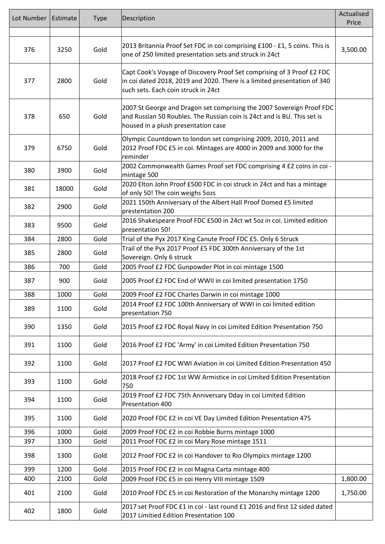| Lot Number | Estimate | <b>Type</b> | Description                                                                                                                                                                               | Actualised<br>Price |
|------------|----------|-------------|-------------------------------------------------------------------------------------------------------------------------------------------------------------------------------------------|---------------------|
|            |          |             |                                                                                                                                                                                           |                     |
| 376        | 3250     | Gold        | 2013 Britannia Proof Set FDC in coi comprising £100 - £1, 5 coins. This is<br>one of 250 limited presentation sets and struck in 24ct                                                     | 3,500.00            |
| 377        | 2800     | Gold        | Capt Cook's Voyage of Discovery Proof Set comprising of 3 Proof £2 FDC<br>in coi dated 2018, 2019 and 2020. There is a limited presentation of 340<br>such sets. Each coin struck in 24ct |                     |
| 378        | 650      | Gold        | 2007 St George and Dragon set comprising the 2007 Sovereign Proof FDC<br>and Russian 50 Roubles. The Russian coin is 24ct and is BU. This set is<br>housed in a plush presentation case   |                     |
| 379        | 6750     | Gold        | Olympic Countdown to london set comprising 2009, 2010, 2011 and<br>2012 Proof FDC £5 in coi. Mintages are 4000 in 2009 and 3000 for the<br>reminder                                       |                     |
| 380        | 3900     | Gold        | 2002 Commonwealth Games Proof set FDC comprising 4 £2 coins in coi -<br>mintage 500                                                                                                       |                     |
| 381        | 18000    | Gold        | 2020 Elton John Proof £500 FDC in coi struck in 24ct and has a mintage<br>of only 50! The coin weighs 5ozs                                                                                |                     |
| 382        | 2900     | Gold        | 2021 150th Anniversary of the Albert Hall Proof Domed £5 limited<br>prestentation 200                                                                                                     |                     |
| 383        | 9500     | Gold        | 2016 Shakespeare Proof FDC £500 in 24ct wt 5oz in coi. Limited edition<br>presentation 50!                                                                                                |                     |
| 384        | 2800     | Gold        | Trial of the Pyx 2017 King Canute Proof FDC £5. Only 6 Struck                                                                                                                             |                     |
| 385        | 2800     | Gold        | Trail of the Pyx 2017 Proof £5 FDC 300th Anniversary of the 1st<br>Sovereign. Only 6 struck                                                                                               |                     |
| 386        | 700      | Gold        | 2005 Proof £2 FDC Gunpowder Plot in coi mintage 1500                                                                                                                                      |                     |
| 387        | 900      | Gold        | 2005 Proof £2 FDC End of WWII in coi limited presentation 1750                                                                                                                            |                     |
| 388        | 1000     | Gold        | 2009 Proof £2 FDC Charles Darwin in coi mintage 1000                                                                                                                                      |                     |
| 389        | 1100     | Gold        | 2014 Proof £2 FDC 100th Anniversary of WWI in coi limited edition<br>presentation 750                                                                                                     |                     |
| 390        | 1350     | Gold        | 2015 Proof £2 FDC Royal Navy in coi Limited Edition Presentation 750                                                                                                                      |                     |
| 391        | 1100     | Gold        | 2016 Proof £2 FDC 'Army' in coi Limited Edition Presentation 750                                                                                                                          |                     |
| 392        | 1100     | Gold        | 2017 Proof £2 FDC WWI Aviation in coi Limited Edition Presentation 450                                                                                                                    |                     |
| 393        | 1100     | Gold        | 2018 Proof £2 FDC 1st WW Armistice in coi Limited Edition Presentation<br>750                                                                                                             |                     |
| 394        | 1100     | Gold        | 2019 Proof £2 FDC 75th Anniversary Dday in coi Limited Edition<br>Presentation 400                                                                                                        |                     |
| 395        | 1100     | Gold        | 2020 Proof FDC £2 in coi VE Day Limited Edition Presentation 475                                                                                                                          |                     |
| 396        | 1000     | Gold        | 2009 Proof FDC £2 in coi Robbie Burns mintage 1000                                                                                                                                        |                     |
| 397        | 1300     | Gold        | 2011 Proof FDC £2 in coi Mary Rose mintage 1511                                                                                                                                           |                     |
| 398        | 1300     | Gold        | 2012 Proof FDC £2 in coi Handover to Rio Olympics mintage 1200                                                                                                                            |                     |
| 399        | 1200     | Gold        | 2015 Proof FDC £2 in coi Magna Carta mintage 400                                                                                                                                          |                     |
| 400        | 2100     | Gold        | 2009 Proof FDC £5 in coi Henry VIII mintage 1509                                                                                                                                          | 1,800.00            |
| 401        | 2100     | Gold        | 2010 Proof FDC £5 in coi Restoration of the Monarchy mintage 1200                                                                                                                         | 1,750.00            |
| 402        | 1800     | Gold        | 2017 set Proof FDC £1 in coi - last round £1 2016 and first 12 sided dated<br>2017 Limitied Edition Presentation 100                                                                      |                     |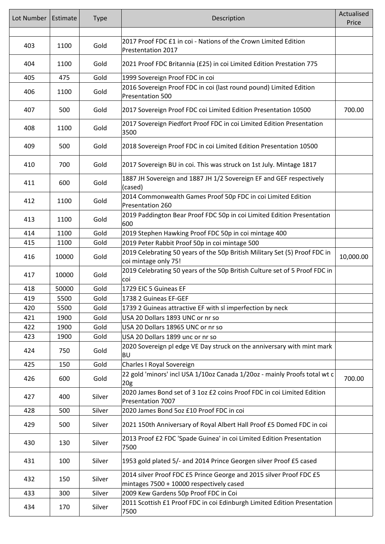| Lot Number | Estimate | <b>Type</b> | Description                                                                                                     | Actualised<br>Price |
|------------|----------|-------------|-----------------------------------------------------------------------------------------------------------------|---------------------|
|            |          |             |                                                                                                                 |                     |
| 403        | 1100     | Gold        | 2017 Proof FDC £1 in coi - Nations of the Crown Limited Edition<br>Prestentation 2017                           |                     |
| 404        | 1100     | Gold        | 2021 Proof FDC Britannia (£25) in coi Limited Edition Prestation 775                                            |                     |
| 405        | 475      | Gold        | 1999 Sovereign Proof FDC in coi                                                                                 |                     |
| 406        | 1100     | Gold        | 2016 Sovereign Proof FDC in coi (last round pound) Limited Edition<br>Presentation 500                          |                     |
| 407        | 500      | Gold        | 2017 Sovereign Proof FDC coi Limited Edition Presentation 10500                                                 | 700.00              |
| 408        | 1100     | Gold        | 2017 Sovereign Piedfort Proof FDC in coi Limited Edition Presentation<br>3500                                   |                     |
| 409        | 500      | Gold        | 2018 Sovereign Proof FDC in coi Limited Edition Presentation 10500                                              |                     |
| 410        | 700      | Gold        | 2017 Sovereign BU in coi. This was struck on 1st July. Mintage 1817                                             |                     |
| 411        | 600      | Gold        | 1887 JH Sovereign and 1887 JH 1/2 Sovereign EF and GEF respectively<br>(cased)                                  |                     |
| 412        | 1100     | Gold        | 2014 Commonwealth Games Proof 50p FDC in coi Limited Edition<br>Presentation 260                                |                     |
| 413        | 1100     | Gold        | 2019 Paddington Bear Proof FDC 50p in coi Limited Edition Presentation<br>600                                   |                     |
| 414        | 1100     | Gold        | 2019 Stephen Hawking Proof FDC 50p in coi mintage 400                                                           |                     |
| 415        | 1100     | Gold        | 2019 Peter Rabbit Proof 50p in coi mintage 500                                                                  |                     |
| 416        | 10000    | Gold        | 2019 Celebrating 50 years of the 50p British Military Set (5) Proof FDC in<br>coi mintage only 75!              | 10,000.00           |
| 417        | 10000    | Gold        | 2019 Celebrating 50 years of the 50p British Culture set of 5 Proof FDC in<br>coi                               |                     |
| 418        | 50000    | Gold        | 1729 EIC 5 Guineas EF                                                                                           |                     |
| 419        | 5500     | Gold        | 1738 2 Guineas EF-GEF                                                                                           |                     |
| 420        | 5500     | Gold        | 1739 2 Guineas attractive EF with sl imperfection by neck                                                       |                     |
| 421        | 1900     | Gold        | USA 20 Dollars 1893 UNC or nr so                                                                                |                     |
| 422        | 1900     | Gold        | USA 20 Dollars 18965 UNC or nr so                                                                               |                     |
| 423        | 1900     | Gold        | USA 20 Dollars 1899 unc or nr so                                                                                |                     |
| 424        | 750      | Gold        | 2020 Sovereign pl edge VE Day struck on the anniversary with mint mark<br>ΒU                                    |                     |
| 425        | 150      | Gold        | Charles I Royal Sovereign                                                                                       |                     |
| 426        | 600      | Gold        | 22 gold 'minors' incl USA 1/10oz Canada 1/20oz - mainly Proofs total wt c<br>20 <sub>g</sub>                    | 700.00              |
| 427        | 400      | Silver      | 2020 James Bond set of 3 1oz £2 coins Proof FDC in coi Limited Edition<br>Presentation 7007                     |                     |
| 428        | 500      | Silver      | 2020 James Bond 5oz £10 Proof FDC in coi                                                                        |                     |
| 429        | 500      | Silver      | 2021 150th Anniversary of Royal Albert Hall Proof £5 Domed FDC in coi                                           |                     |
| 430        | 130      | Silver      | 2013 Proof £2 FDC 'Spade Guinea' in coi Limited Edition Presentation<br>7500                                    |                     |
| 431        | 100      | Silver      | 1953 gold plated 5/- and 2014 Prince Georgen silver Proof £5 cased                                              |                     |
| 432        | 150      | Silver      | 2014 silver Proof FDC £5 Prince George and 2015 silver Proof FDC £5<br>mintages 7500 + 10000 respectively cased |                     |
| 433        | 300      | Silver      | 2009 Kew Gardens 50p Proof FDC in Coi                                                                           |                     |
| 434        | 170      | Silver      | 2011 Scottish £1 Proof FDC in coi Edinburgh Limited Edition Presentation<br>7500                                |                     |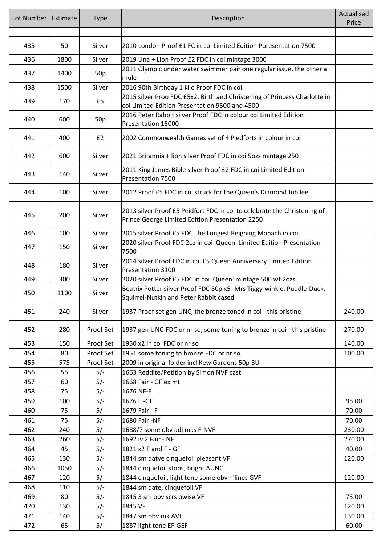| Lot Number | Estimate | <b>Type</b>     | Description                                                                                                                 | Actualised<br>Price |
|------------|----------|-----------------|-----------------------------------------------------------------------------------------------------------------------------|---------------------|
| 435        | 50       | Silver          | 2010 London Proof £1 FC in coi Limited Edition Poresentation 7500                                                           |                     |
|            |          |                 |                                                                                                                             |                     |
| 436        | 1800     | Silver          | 2019 Una + Lion Proof £2 FDC in coi mintage 3000                                                                            |                     |
| 437        | 1400     | 50p             | 2011 Olympic under water swimmer pair one regular issue, the other a<br>mule                                                |                     |
| 438        | 1500     | Silver          | 2016 90th Birthday 1 kilo Proof FDC in coi                                                                                  |                     |
| 439        | 170      | £5              | 2015 silver Proo FDC £5x2, Birth and Christening of Princess Charlotte in<br>coi Limited Edition Presentation 9500 and 4500 |                     |
| 440        | 600      | 50 <sub>p</sub> | 2016 Peter Rabbit silver Proof FDC in colour coi Limited Edition<br>Presentation 15000                                      |                     |
| 441        | 400      | £2              | 2002 Commonwealth Games set of 4 Piedforts in colour in coi                                                                 |                     |
| 442        | 600      | Silver          | 2021 Britannia + lion silver Proof FDC in coi 5ozs mintage 250                                                              |                     |
| 443        | 140      | Silver          | 2011 King James Bible silver Proof £2 FDC in coi Limited Edition<br>Presentation 7500                                       |                     |
| 444        | 100      | Silver          | 2012 Proof £5 FDC in coi struck for the Queen's Diamond Jubilee                                                             |                     |
| 445        | 200      | Silver          | 2013 silver Proof £5 Peidfort FDC in coi to celebrate the Christening of<br>Prince George Limited Edition Presentation 2250 |                     |
| 446        | 100      | Silver          | 2015 silver Proof £5 FDC The Longest Reigning Monach in coi                                                                 |                     |
| 447        | 150      | Silver          | 2020 silver Proof FDC 2oz in coi 'Queen' Limited Edition Presentation<br>7500                                               |                     |
| 448        | 180      | Silver          | 2014 silver Proof FDC in coi £5 Queen Anniversary Limited Edition<br>Presentation 3100                                      |                     |
| 449        | 300      | Silver          | 2020 silver Proof £5 FDC in coi 'Queen' mintage 500 wt 20zs                                                                 |                     |
| 450        | 1100     | Silver          | Beatrix Potter silver Proof FDC 50p x5 -Mrs Tiggy-winkle, Puddle-Duck,<br>Squirrel-Nutkin and Peter Rabbit cased            |                     |
| 451        | 240      | Silver          | 1937 Proof set gen UNC, the bronze toned in coi - this pristine                                                             | 240.00              |
| 452        | 280      | Proof Set       | 1937 gen UNC-FDC or nr so, some toning to bronze in coi - this pristine                                                     | 270.00              |
| 453        | 150      | Proof Set       | 1950 x2 in coi FDC or nr so                                                                                                 | 140.00              |
| 454        | 80       | Proof Set       | 1951 some toning to bronze FDC or nr so                                                                                     | 100.00              |
| 455        | 575      | Proof Set       | 2009 in original folder incl Kew Gardens 50p BU                                                                             |                     |
| 456        | 55       | $5/-$           | 1663 Reddite/Petition by Simon NVF cast                                                                                     |                     |
| 457        | 60       | $5/-$           | 1668 Fair - GF ex mt                                                                                                        |                     |
| 458        | 75       | $5/-$           | 1676 NF-F                                                                                                                   |                     |
| 459        | 100      | $5/-$           | 1676 F-GF                                                                                                                   | 95.00               |
| 460        | 75       | $5/-$           | 1679 Fair - F                                                                                                               | 70.00               |
| 461        | 75       | $5/-$           | 1680 Fair -NF                                                                                                               | 70.00               |
| 462        | 240      | $5/-$           | 1688/7 some obv adj mks F-NVF                                                                                               | 230.00              |
| 463        | 260      | $5/-$           | 1692 iv 2 Fair - NF                                                                                                         | 270.00              |
| 464        | 45       | $5/-$           | 1821 x2 F and F - GF                                                                                                        | 40.00               |
| 465        | 130      | $5/-$           | 1844 sm datye cinquefoil pleasant VF                                                                                        | 120.00              |
| 466        | 1050     | $5/-$           | 1844 cinquefoil stops, bright AUNC                                                                                          |                     |
| 467        | 120      | $5/-$           | 1844 cinquefoil, light tone some obv h'lines GVF                                                                            | 120.00              |
| 468        | 110      | $5/-$           | 1844 sm date, cinquefoil VF                                                                                                 |                     |
| 469        | 80       | $5/-$           | 1845 3 sm obv scrs owise VF                                                                                                 | 75.00               |
| 470        | 130      | $5/-$           | 1845 VF                                                                                                                     | 120.00              |
| 471        | 140      | $5/-$           | 1847 sm obv mk AVF                                                                                                          | 130.00              |
| 472        | 65       | $5/-$           | 1887 light tone EF-GEF                                                                                                      | 60.00               |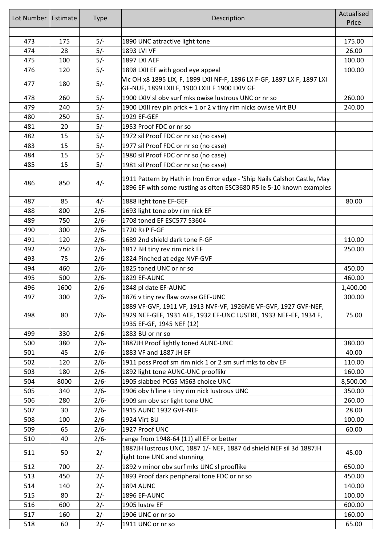| Lot Number | Estimate | <b>Type</b> | Description                                                                                                                                       | Actualised |
|------------|----------|-------------|---------------------------------------------------------------------------------------------------------------------------------------------------|------------|
|            |          |             |                                                                                                                                                   | Price      |
| 473        | 175      | $5/-$       | 1890 UNC attractive light tone                                                                                                                    | 175.00     |
| 474        | 28       | $5/-$       | 1893 LVI VF                                                                                                                                       | 26.00      |
| 475        | 100      | $5/-$       | 1897 LXI AEF                                                                                                                                      | 100.00     |
| 476        | 120      | $5/-$       | 1898 LXII EF with good eye appeal                                                                                                                 | 100.00     |
|            |          |             | Vic OH x8 1895 LIX, F, 1899 LXII NF-F, 1896 LX F-GF, 1897 LX F, 1897 LXI                                                                          |            |
| 477        | 180      | $5/-$       | GF-NUF, 1899 LXII F, 1900 LXIII F 1900 LXIV GF                                                                                                    |            |
| 478        | 260      | $5/-$       | 1900 LXIV sl obv surf mks owise lustrous UNC or nr so                                                                                             | 260.00     |
| 479        | 240      | $5/-$       | 1900 LXIII rev pin prick + 1 or 2 v tiny rim nicks owise Virt BU                                                                                  | 240.00     |
| 480        | 250      | $5/-$       | 1929 EF-GEF                                                                                                                                       |            |
| 481        | 20       | $5/-$       | 1953 Proof FDC or nr so                                                                                                                           |            |
| 482        | 15       | $5/-$       | 1972 sil Proof FDC or nr so (no case)                                                                                                             |            |
| 483        | 15       | $5/-$       | 1977 sil Proof FDC or nr so (no case)                                                                                                             |            |
| 484        | 15       | $5/-$       | 1980 sil Proof FDC or nr so (no case)                                                                                                             |            |
| 485        | 15       | $5/-$       | 1981 sil Proof FDC or nr so (no case)                                                                                                             |            |
| 486        | 850      | $4/-$       | 1911 Pattern by Hath in Iron Error edge - 'Ship Nails Calshot Castle, May<br>1896 EF with some rusting as often ESC3680 R5 ie 5-10 known examples |            |
| 487        | 85       | $4/-$       | 1888 light tone EF-GEF                                                                                                                            | 80.00      |
| 488        | 800      | $2/6-$      | 1693 light tone obv rim nick EF                                                                                                                   |            |
| 489        | 750      | $2/6 -$     | 1708 toned EF ESC577 S3604                                                                                                                        |            |
| 490        | 300      | $2/6 -$     | 1720 R+P F-GF                                                                                                                                     |            |
| 491        | 120      | $2/6 -$     | 1689 2nd shield dark tone F-GF                                                                                                                    | 110.00     |
| 492        | 250      | $2/6-$      | 1817 BH tiny rev rim nick EF                                                                                                                      | 250.00     |
| 493        | 75       | $2/6-$      | 1824 Pinched at edge NVF-GVF                                                                                                                      |            |
| 494        | 460      | $2/6-$      | 1825 toned UNC or nr so                                                                                                                           | 450.00     |
| 495        | 500      | $2/6-$      | 1829 EF-AUNC                                                                                                                                      | 460.00     |
| 496        | 1600     | $2/6-$      | 1848 pl date EF-AUNC                                                                                                                              | 1,400.00   |
| 497        | 300      | $2/6-$      | 1876 v tiny rev flaw owise GEF-UNC                                                                                                                | 300.00     |
|            |          |             | 1889 VF-GVF, 1911 VF, 1913 NVF-VF, 1926ME VF-GVF, 1927 GVF-NEF,                                                                                   |            |
| 498        | 80       | $2/6-$      | 1929 NEF-GEF, 1931 AEF, 1932 EF-UNC LUSTRE, 1933 NEF-EF, 1934 F,                                                                                  | 75.00      |
|            |          |             | 1935 EF-GF, 1945 NEF (12)                                                                                                                         |            |
| 499        | 330      | $2/6-$      | 1883 BU or nr so                                                                                                                                  |            |
| 500        | 380      | $2/6-$      | 1887JH Proof lightly toned AUNC-UNC                                                                                                               | 380.00     |
| 501        | 45       | $2/6-$      | 1883 VF and 1887 JH EF                                                                                                                            | 40.00      |
| 502        | 120      | $2/6-$      | 1911 poss Proof sm rim nick 1 or 2 sm surf mks to obv EF                                                                                          | 110.00     |
| 503        | 180      | $2/6-$      | 1892 light tone AUNC-UNC prooflikr                                                                                                                | 160.00     |
| 504        | 8000     | $2/6-$      | 1905 slabbed PCGS MS63 choice UNC                                                                                                                 | 8,500.00   |
| 505        | 340      | $2/6 -$     | 1906 obv h'line + tiny rim nick lustrous UNC                                                                                                      | 350.00     |
| 506        | 280      | $2/6 -$     | 1909 sm obv scr light tone UNC                                                                                                                    | 260.00     |
| 507        | 30       | $2/6 -$     | 1915 AUNC 1932 GVF-NEF                                                                                                                            | 28.00      |
| 508        | 100      | $2/6 -$     | 1924 Virt BU                                                                                                                                      | 100.00     |
| 509        | 65       | $2/6 -$     | 1927 Proof UNC                                                                                                                                    | 60.00      |
| 510        | 40       | $2/6 -$     | range from 1948-64 (11) all EF or better                                                                                                          |            |
| 511        | 50       | $2/-$       | 1887JH lustrous UNC, 1887 1/- NEF, 1887 6d shield NEF sil 3d 1887JH<br>light tone UNC and stunning                                                | 45.00      |
| 512        | 700      | $2/-$       | 1892 v minor obv surf mks UNC sl prooflike                                                                                                        | 650.00     |
| 513        | 450      | $2/-$       | 1893 Proof dark peripheral tone FDC or nr so                                                                                                      | 450.00     |
| 514        | 140      | $2/-$       | <b>1894 AUNC</b>                                                                                                                                  | 140.00     |
| 515        | 80       | $2/-$       | 1896 EF-AUNC                                                                                                                                      | 100.00     |
| 516        | 600      | $2/-$       | 1905 lustre EF                                                                                                                                    | 600.00     |
| 517        | 160      | $2/-$       | 1906 UNC or nr so                                                                                                                                 | 160.00     |
| 518        | 60       | $2/-$       | 1911 UNC or nr so                                                                                                                                 | 65.00      |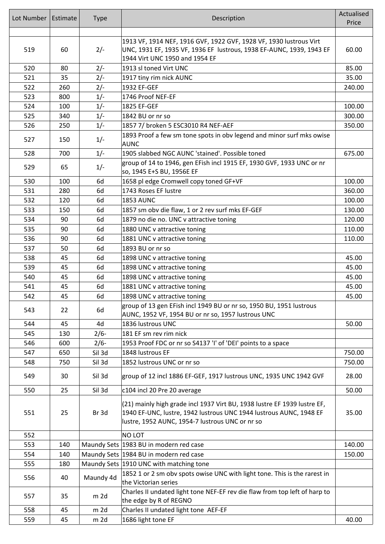| Lot Number | Estimate | <b>Type</b> | Description                                                                                                                                    | Actualised |
|------------|----------|-------------|------------------------------------------------------------------------------------------------------------------------------------------------|------------|
|            |          |             |                                                                                                                                                | Price      |
|            |          |             | 1913 VF, 1914 NEF, 1916 GVF, 1922 GVF, 1928 VF, 1930 lustrous Virt                                                                             |            |
| 519        | 60       | $2/-$       | UNC, 1931 EF, 1935 VF, 1936 EF lustrous, 1938 EF-AUNC, 1939, 1943 EF                                                                           | 60.00      |
|            |          |             | 1944 Virt UNC 1950 and 1954 EF                                                                                                                 |            |
| 520        | 80       | $2/-$       | 1913 sl toned Virt UNC                                                                                                                         | 85.00      |
| 521        | 35       | $2/-$       | 1917 tiny rim nick AUNC                                                                                                                        | 35.00      |
| 522        | 260      | $2/-$       | 1932 EF-GEF                                                                                                                                    | 240.00     |
| 523        | 800      | $1/-$       | 1746 Proof NEF-EF                                                                                                                              |            |
| 524        | 100      | $1/-$       | 1825 EF-GEF                                                                                                                                    | 100.00     |
| 525        | 340      | $1/-$       | 1842 BU or nr so                                                                                                                               | 300.00     |
| 526        | 250      | $1/-$       | 1857 7/ broken 5 ESC3010 R4 NEF-AEF                                                                                                            | 350.00     |
|            |          |             | 1893 Proof a few sm tone spots in obv legend and minor surf mks owise                                                                          |            |
| 527        | 150      | $1/-$       | <b>AUNC</b>                                                                                                                                    |            |
| 528        | 700      | $1/-$       | 1905 slabbed NGC AUNC 'stained'. Possible toned                                                                                                | 675.00     |
| 529        | 65       | $1/-$       | group of 14 to 1946, gen EFish incl 1915 EF, 1930 GVF, 1933 UNC or nr                                                                          |            |
|            |          |             | so, 1945 E+S BU, 1956E EF                                                                                                                      |            |
| 530        | 100      | 6d          | 1658 pl edge Cromwell copy toned GF+VF                                                                                                         | 100.00     |
| 531        | 280      | 6d          | 1743 Roses EF lustre                                                                                                                           | 360.00     |
| 532        | 120      | 6d          | <b>1853 AUNC</b>                                                                                                                               | 100.00     |
| 533        | 150      | 6d          | 1857 sm obv die flaw, 1 or 2 rev surf mks EF-GEF                                                                                               | 130.00     |
| 534        | 90       | 6d          | 1879 no die no. UNC v attractive toning                                                                                                        | 120.00     |
| 535        | 90       | 6d          | 1880 UNC v attractive toning                                                                                                                   | 110.00     |
| 536        | 90       | 6d          | 1881 UNC v attractive toning                                                                                                                   | 110.00     |
| 537        | 50       | 6d          | 1893 BU or nr so                                                                                                                               |            |
| 538        | 45       | 6d          | 1898 UNC v attractive toning                                                                                                                   | 45.00      |
| 539        | 45       | 6d          | 1898 UNC v attractive toning                                                                                                                   | 45.00      |
| 540        | 45       | 6d          | 1898 UNC v attractive toning                                                                                                                   | 45.00      |
| 541        | 45       | 6d          | 1881 UNC v attractive toning                                                                                                                   | 45.00      |
| 542        | 45       | 6d          | 1898 UNC v attractive toning                                                                                                                   | 45.00      |
| 543        | 22       | 6d          | group of 13 gen EFish incl 1949 BU or nr so, 1950 BU, 1951 lustrous<br>AUNC, 1952 VF, 1954 BU or nr so, 1957 lustrous UNC                      |            |
| 544        | 45       | 4d          | 1836 lustrous UNC                                                                                                                              | 50.00      |
| 545        | 130      | $2/6-$      | 181 EF sm rev rim nick                                                                                                                         |            |
| 546        | 600      | $2/6-$      | 1953 Proof FDC or nr so S4137 'I' of 'DEI' points to a space                                                                                   |            |
| 547        | 650      | Sil 3d      | 1848 lustrous EF                                                                                                                               | 750.00     |
| 548        | 750      | Sil 3d      | 1852 lustrous UNC or nr so                                                                                                                     | 750.00     |
| 549        | 30       | Sil 3d      | group of 12 incl 1886 EF-GEF, 1917 lustrous UNC, 1935 UNC 1942 GVF                                                                             | 28.00      |
| 550        | 25       | Sil 3d      | c104 incl 20 Pre 20 average                                                                                                                    | 50.00      |
|            |          |             |                                                                                                                                                |            |
| 551        | 25       | Br 3d       | (21) mainly high grade incl 1937 Virt BU, 1938 lustre EF 1939 lustre EF,<br>1940 EF-UNC, lustre, 1942 lustrous UNC 1944 lustrous AUNC, 1948 EF | 35.00      |
|            |          |             | lustre, 1952 AUNC, 1954-7 lustrous UNC or nr so                                                                                                |            |
| 552        |          |             | <b>NO LOT</b>                                                                                                                                  |            |
| 553        | 140      |             | Maundy Sets 1983 BU in modern red case                                                                                                         | 140.00     |
| 554        | 140      |             | Maundy Sets 1984 BU in modern red case                                                                                                         | 150.00     |
| 555        | 180      |             | Maundy Sets 1910 UNC with matching tone                                                                                                        |            |
| 556        | 40       | Maundy 4d   | 1852 1 or 2 sm obv spots owise UNC with light tone. This is the rarest in                                                                      |            |
|            |          |             | the Victorian series                                                                                                                           |            |
| 557        | 35       | $m$ 2d      | Charles II undated light tone NEF-EF rev die flaw from top left of harp to<br>the edge by R of REGNO                                           |            |
| 558        | 45       | $m$ 2d      | Charles II undated light tone AEF-EF                                                                                                           |            |
| 559        | 45       | $m$ 2d      | 1686 light tone EF                                                                                                                             | 40.00      |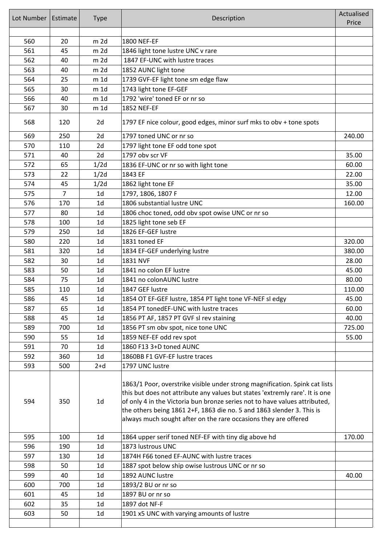| Lot Number | Estimate       | <b>Type</b>     | Description                                                                                                                                                                                                                                                                                                                                                                           | Actualised<br>Price |
|------------|----------------|-----------------|---------------------------------------------------------------------------------------------------------------------------------------------------------------------------------------------------------------------------------------------------------------------------------------------------------------------------------------------------------------------------------------|---------------------|
| 560        | 20             | $m$ 2d          | 1800 NEF-EF                                                                                                                                                                                                                                                                                                                                                                           |                     |
| 561        | 45             | m <sub>2d</sub> | 1846 light tone lustre UNC v rare                                                                                                                                                                                                                                                                                                                                                     |                     |
| 562        | 40             | $m$ 2d          | 1847 EF-UNC with lustre traces                                                                                                                                                                                                                                                                                                                                                        |                     |
| 563        | 40             | m <sub>2d</sub> | 1852 AUNC light tone                                                                                                                                                                                                                                                                                                                                                                  |                     |
| 564        | 25             | $m$ 1d          | 1739 GVF-EF light tone sm edge flaw                                                                                                                                                                                                                                                                                                                                                   |                     |
| 565        | 30             | $m$ 1d          | 1743 light tone EF-GEF                                                                                                                                                                                                                                                                                                                                                                |                     |
| 566        | 40             | $m$ 1d          | 1792 'wire' toned EF or nr so                                                                                                                                                                                                                                                                                                                                                         |                     |
| 567        | 30             | m 1d            | 1852 NEF-EF                                                                                                                                                                                                                                                                                                                                                                           |                     |
| 568        | 120            | 2d              | 1797 EF nice colour, good edges, minor surf mks to obv + tone spots                                                                                                                                                                                                                                                                                                                   |                     |
| 569        | 250            | 2d              | 1797 toned UNC or nr so                                                                                                                                                                                                                                                                                                                                                               | 240.00              |
| 570        | 110            | 2d              | 1797 light tone EF odd tone spot                                                                                                                                                                                                                                                                                                                                                      |                     |
| 571        | 40             | 2d              | 1797 obv scr VF                                                                                                                                                                                                                                                                                                                                                                       | 35.00               |
| 572        | 65             | 1/2d            | 1836 EF-UNC or nr so with light tone                                                                                                                                                                                                                                                                                                                                                  | 60.00               |
| 573        | 22             | 1/2d            | 1843 EF                                                                                                                                                                                                                                                                                                                                                                               | 22.00               |
| 574        | 45             | 1/2d            | 1862 light tone EF                                                                                                                                                                                                                                                                                                                                                                    | 35.00               |
| 575        | $\overline{7}$ | 1 <sub>d</sub>  | 1797, 1806, 1807 F                                                                                                                                                                                                                                                                                                                                                                    | 12.00               |
| 576        | 170            | 1 <sub>d</sub>  | 1806 substantial lustre UNC                                                                                                                                                                                                                                                                                                                                                           | 160.00              |
| 577        | 80             | 1 <sub>d</sub>  | 1806 choc toned, odd obv spot owise UNC or nr so                                                                                                                                                                                                                                                                                                                                      |                     |
| 578        | 100            | 1 <sub>d</sub>  | 1825 light tone seb EF                                                                                                                                                                                                                                                                                                                                                                |                     |
| 579        | 250            | 1 <sub>d</sub>  | 1826 EF-GEF lustre                                                                                                                                                                                                                                                                                                                                                                    |                     |
| 580        | 220            | 1 <sub>d</sub>  | 1831 toned EF                                                                                                                                                                                                                                                                                                                                                                         | 320.00              |
| 581        | 320            | 1 <sub>d</sub>  | 1834 EF-GEF underlying lustre                                                                                                                                                                                                                                                                                                                                                         | 380.00              |
| 582        | 30             | 1 <sub>d</sub>  | 1831 NVF                                                                                                                                                                                                                                                                                                                                                                              | 28.00               |
| 583        | 50             | 1 <sub>d</sub>  | 1841 no colon EF lustre                                                                                                                                                                                                                                                                                                                                                               | 45.00               |
| 584        | 75             | 1 <sub>d</sub>  | 1841 no colonAUNC lustre                                                                                                                                                                                                                                                                                                                                                              | 80.00               |
| 585        | 110            | 1 <sub>d</sub>  | 1847 GEF lustre                                                                                                                                                                                                                                                                                                                                                                       | 110.00              |
| 586        | 45             | 1d              | 1854 OT EF-GEF lustre, 1854 PT light tone VF-NEF sl edgy                                                                                                                                                                                                                                                                                                                              | 45.00               |
| 587        | 65             | 1 <sub>d</sub>  | 1854 PT tonedEF-UNC with lustre traces                                                                                                                                                                                                                                                                                                                                                | 60.00               |
| 588        | 45             | 1 <sub>d</sub>  | 1856 PT AF, 1857 PT GVF sl rev staining                                                                                                                                                                                                                                                                                                                                               | 40.00               |
| 589        | 700            | 1 <sub>d</sub>  | 1856 PT sm obv spot, nice tone UNC                                                                                                                                                                                                                                                                                                                                                    | 725.00              |
| 590        | 55             | 1 <sub>d</sub>  | 1859 NEF-EF odd rev spot                                                                                                                                                                                                                                                                                                                                                              | 55.00               |
| 591        | 70             | 1 <sub>d</sub>  | 1860 F13 3+D toned AUNC                                                                                                                                                                                                                                                                                                                                                               |                     |
| 592        | 360            | 1 <sub>d</sub>  | 1860BB F1 GVF-EF lustre traces                                                                                                                                                                                                                                                                                                                                                        |                     |
| 593        | 500            | $2+d$           | 1797 UNC lustre                                                                                                                                                                                                                                                                                                                                                                       |                     |
| 594        | 350            | 1 <sub>d</sub>  | 1863/1 Poor, overstrike visible under strong magnification. Spink cat lists<br>this but does not attribute any values but states 'extremly rare'. It is one<br>of only 4 in the Victoria bun bronze series not to have values attributed,<br>the others being 1861 2+F, 1863 die no. 5 and 1863 slender 3. This is<br>always much sought after on the rare occasions they are offered |                     |
| 595        | 100            | 1 <sub>d</sub>  | 1864 upper serif toned NEF-EF with tiny dig above hd                                                                                                                                                                                                                                                                                                                                  | 170.00              |
| 596        | 190            | 1 <sub>d</sub>  | 1873 lustrous UNC                                                                                                                                                                                                                                                                                                                                                                     |                     |
| 597        | 130            | 1 <sub>d</sub>  | 1874H F66 toned EF-AUNC with lustre traces                                                                                                                                                                                                                                                                                                                                            |                     |
| 598        | 50             | 1 <sub>d</sub>  | 1887 spot below ship owise lustrous UNC or nr so                                                                                                                                                                                                                                                                                                                                      |                     |
| 599        | 40             | 1 <sub>d</sub>  | 1892 AUNC lustre                                                                                                                                                                                                                                                                                                                                                                      | 40.00               |
| 600        | 700            | 1 <sub>d</sub>  | 1893/2 BU or nr so                                                                                                                                                                                                                                                                                                                                                                    |                     |
| 601        | 45             | 1 <sub>d</sub>  | 1897 BU or nr so                                                                                                                                                                                                                                                                                                                                                                      |                     |
| 602        | 35             | 1 <sub>d</sub>  | 1897 dot NF-F                                                                                                                                                                                                                                                                                                                                                                         |                     |
| 603        | 50             | 1 <sub>d</sub>  | 1901 x5 UNC with varying amounts of lustre                                                                                                                                                                                                                                                                                                                                            |                     |
|            |                |                 |                                                                                                                                                                                                                                                                                                                                                                                       |                     |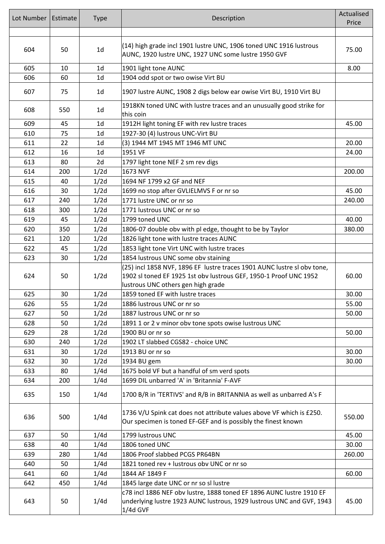| Lot Number | Estimate | <b>Type</b>    | Description                                                                                                                                                                        | Actualised<br>Price |
|------------|----------|----------------|------------------------------------------------------------------------------------------------------------------------------------------------------------------------------------|---------------------|
|            |          |                |                                                                                                                                                                                    |                     |
|            |          |                |                                                                                                                                                                                    |                     |
| 604        | 50       | 1 <sub>d</sub> | (14) high grade incl 1901 lustre UNC, 1906 toned UNC 1916 lustrous<br>AUNC, 1920 lustre UNC, 1927 UNC some lustre 1950 GVF                                                         | 75.00               |
| 605        | 10       | 1 <sub>d</sub> | 1901 light tone AUNC                                                                                                                                                               | 8.00                |
| 606        | 60       | 1 <sub>d</sub> | 1904 odd spot or two owise Virt BU                                                                                                                                                 |                     |
| 607        | 75       | 1 <sub>d</sub> | 1907 lustre AUNC, 1908 2 digs below ear owise Virt BU, 1910 Virt BU                                                                                                                |                     |
| 608        | 550      | 1 <sub>d</sub> | 1918KN toned UNC with lustre traces and an unusually good strike for<br>this coin                                                                                                  |                     |
| 609        | 45       | 1 <sub>d</sub> | 1912H light toning EF with rev lustre traces                                                                                                                                       | 45.00               |
| 610        | 75       | 1 <sub>d</sub> | 1927-30 (4) lustrous UNC-Virt BU                                                                                                                                                   |                     |
| 611        | 22       | 1 <sub>d</sub> | (3) 1944 MT 1945 MT 1946 MT UNC                                                                                                                                                    | 20.00               |
| 612        | 16       | 1 <sub>d</sub> | 1951 VF                                                                                                                                                                            | 24.00               |
| 613        | 80       | 2d             | 1797 light tone NEF 2 sm rev digs                                                                                                                                                  |                     |
| 614        | 200      | 1/2d           | 1673 NVF                                                                                                                                                                           | 200.00              |
| 615        | 40       | 1/2d           | 1694 NF 1799 x2 GF and NEF                                                                                                                                                         |                     |
| 616        | 30       | 1/2d           | 1699 no stop after GVLIELMVS F or nr so                                                                                                                                            | 45.00               |
| 617        | 240      | 1/2d           | 1771 lustre UNC or nr so                                                                                                                                                           | 240.00              |
| 618        | 300      | 1/2d           | 1771 lustrous UNC or nr so                                                                                                                                                         |                     |
| 619        | 45       | 1/2d           | 1799 toned UNC                                                                                                                                                                     | 40.00               |
| 620        | 350      | 1/2d           | 1806-07 double obv with pl edge, thought to be by Taylor                                                                                                                           | 380.00              |
| 621        | 120      | 1/2d           | 1826 light tone with lustre traces AUNC                                                                                                                                            |                     |
| 622        | 45       | 1/2d           | 1853 light tone Virt UNC with lustre traces                                                                                                                                        |                     |
| 623        | 30       | 1/2d           | 1854 lustrous UNC some obv staining                                                                                                                                                |                     |
| 624        | 50       | 1/2d           | (25) incl 1858 NVF, 1896 EF lustre traces 1901 AUNC lustre sl obv tone,<br>1902 sl toned EF 1925 1st obv lustrous GEF, 1950-1 Proof UNC 1952<br>lustrous UNC others gen high grade | 60.00               |
| 625        | 30       | 1/2d           | 1859 toned EF with lustre traces                                                                                                                                                   | 30.00               |
| 626        | 55       | 1/2d           | 1886 lustrous UNC or nr so                                                                                                                                                         | 55.00               |
| 627        | 50       | 1/2d           | 1887 lustrous UNC or nr so                                                                                                                                                         | 50.00               |
| 628        | 50       | 1/2d           | 1891 1 or 2 v minor obv tone spots owise lustrous UNC                                                                                                                              |                     |
| 629        | 28       | 1/2d           | 1900 BU or nr so                                                                                                                                                                   | 50.00               |
| 630        | 240      | 1/2d           | 1902 LT slabbed CGS82 - choice UNC                                                                                                                                                 |                     |
| 631        | 30       | 1/2d           | 1913 BU or nr so                                                                                                                                                                   | 30.00               |
| 632        | 30       | 1/2d           | 1934 BU gem                                                                                                                                                                        | 30.00               |
| 633        | 80       | 1/4d           | 1675 bold VF but a handful of sm verd spots                                                                                                                                        |                     |
| 634        | 200      | 1/4d           | 1699 DIL unbarred 'A' in 'Britannia' F-AVF                                                                                                                                         |                     |
| 635        | 150      | 1/4d           | 1700 B/R in 'TERTIVS' and R/B in BRITANNIA as well as unbarred A's F                                                                                                               |                     |
| 636        | 500      | 1/4d           | 1736 V/U Spink cat does not attribute values above VF which is £250.<br>Our specimen is toned EF-GEF and is possibly the finest known                                              | 550.00              |
| 637        | 50       | 1/4d           | 1799 lustrous UNC                                                                                                                                                                  | 45.00               |
| 638        | 40       | 1/4d           | 1806 toned UNC                                                                                                                                                                     | 30.00               |
| 639        | 280      | 1/4d           | 1806 Proof slabbed PCGS PR64BN                                                                                                                                                     | 260.00              |
| 640        | 50       | 1/4d           | 1821 toned rev + lustrous obv UNC or nr so                                                                                                                                         |                     |
| 641        | 60       | 1/4d           | 1844 AF 1849 F                                                                                                                                                                     | 60.00               |
| 642        | 450      | 1/4d           | 1845 large date UNC or nr so sl lustre                                                                                                                                             |                     |
| 643        | 50       | 1/4d           | c78 incl 1886 NEF obv lustre, 1888 toned EF 1896 AUNC lustre 1910 EF<br>underlying lustre 1923 AUNC lustrous, 1929 lustrous UNC and GVF, 1943<br>1/4d GVF                          | 45.00               |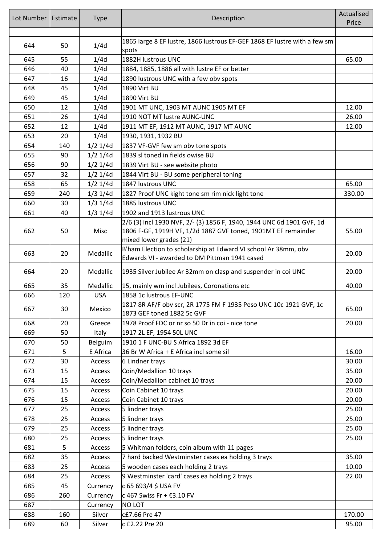| Lot Number | Estimate | <b>Type</b> | Description                                                                                                     | Actualised<br>Price |
|------------|----------|-------------|-----------------------------------------------------------------------------------------------------------------|---------------------|
| 644        | 50       | 1/4d        | 1865 large 8 EF lustre, 1866 lustrous EF-GEF 1868 EF lustre with a few sm<br>spots                              |                     |
| 645        | 55       | 1/4d        | 1882H lustrous UNC                                                                                              | 65.00               |
| 646        | 40       | 1/4d        | 1884, 1885, 1886 all with lustre EF or better                                                                   |                     |
| 647        | 16       | 1/4d        | 1890 lustrous UNC with a few obv spots                                                                          |                     |
| 648        | 45       | 1/4d        | 1890 Virt BU                                                                                                    |                     |
| 649        | 45       | 1/4d        | 1890 Virt BU                                                                                                    |                     |
| 650        | 12       | 1/4d        | 1901 MT UNC, 1903 MT AUNC 1905 MT EF                                                                            | 12.00               |
| 651        | 26       | 1/4d        | 1910 NOT MT lustre AUNC-UNC                                                                                     | 26.00               |
| 652        | 12       | 1/4d        | 1911 MT EF, 1912 MT AUNC, 1917 MT AUNC                                                                          | 12.00               |
| 653        | 20       | 1/4d        | 1930, 1931, 1932 BU                                                                                             |                     |
| 654        | 140      | $1/2$ 1/4d  | 1837 VF-GVF few sm obv tone spots                                                                               |                     |
| 655        | 90       | $1/2$ 1/4d  | 1839 sl toned in fields owise BU                                                                                |                     |
| 656        | 90       | $1/2$ 1/4d  | 1839 Virt BU - see website photo                                                                                |                     |
| 657        | 32       | $1/2$ 1/4d  | 1844 Virt BU - BU some peripheral toning                                                                        |                     |
| 658        | 65       | $1/2$ 1/4d  | 1847 lustrous UNC                                                                                               | 65.00               |
| 659        | 240      | $1/3$ 1/4d  | 1827 Proof UNC kight tone sm rim nick light tone                                                                | 330.00              |
| 660        | 30       | $1/3$ 1/4d  | 1885 lustrous UNC                                                                                               |                     |
| 661        | 40       | $1/3$ 1/4d  | 1902 and 1913 lustrous UNC                                                                                      |                     |
|            |          |             | 2/6 (3) incl 1930 NVF, 2/- (3) 1856 F, 1940, 1944 UNC 6d 1901 GVF, 1d                                           |                     |
| 662        | 50       | Misc        | 1806 F-GF, 1919H VF, 1/2d 1887 GVF toned, 1901MT EF remainder<br>mixed lower grades (21)                        | 55.00               |
| 663        | 20       | Medallic    | B'ham Election to scholarship at Edward VI school Ar 38mm, obv<br>Edwards VI - awarded to DM Pittman 1941 cased | 20.00               |
| 664        | 20       | Medallic    | 1935 Silver Jubilee Ar 32mm on clasp and suspender in coi UNC                                                   | 20.00               |
| 665        | 35       | Medallic    | 15, mainly wm incl Jubilees, Coronations etc                                                                    | 40.00               |
| 666        | 120      | <b>USA</b>  | 1858 1c lustrous EF-UNC                                                                                         |                     |
| 667        | 30       | Mexico      | 1817 8R AF/F obv scr, 2R 1775 FM F 1935 Peso UNC 10c 1921 GVF, 1c<br>1873 GEF toned 1882 5c GVF                 | 65.00               |
| 668        | 20       | Greece      | 1978 Proof FDC or nr so 50 Dr in coi - nice tone                                                                | 20.00               |
| 669        | 50       | Italy       | 1917 2L EF, 1954 50L UNC                                                                                        |                     |
| 670        | 50       | Belguim     | 1910 1 F UNC-BU S Africa 1892 3d EF                                                                             |                     |
| 671        | 5        | E Africa    | 36 Br W Africa + E Africa incl some sil                                                                         | 16.00               |
| 672        | 30       | Access      | 6 Lindner trays                                                                                                 | 30.00               |
| 673        | 15       | Access      | Coin/Medallion 10 trays                                                                                         | 35.00               |
| 674        | 15       | Access      | Coin/Medallion cabinet 10 trays                                                                                 | 20.00               |
| 675        | 15       | Access      | Coin Cabinet 10 trays                                                                                           | 20.00               |
| 676        | 15       | Access      | Coin Cabinet 10 trays                                                                                           | 20.00               |
| 677        | 25       | Access      | 5 lindner trays                                                                                                 | 25.00               |
| 678        | 25       | Access      | 5 lindner trays                                                                                                 | 25.00               |
| 679        | 25       | Access      | 5 lindner trays                                                                                                 | 25.00               |
| 680        | 25       | Access      | 5 lindner trays                                                                                                 | 25.00               |
| 681        | 5        | Access      | 5 Whitman folders, coin album with 11 pages                                                                     |                     |
| 682        | 35       | Access      | 7 hard backed Westminster cases ea holding 3 trays                                                              | 35.00               |
| 683        | 25       | Access      | 5 wooden cases each holding 2 trays                                                                             | 10.00               |
| 684        | 25       | Access      | 9 Westminster 'card' cases ea holding 2 trays                                                                   | 22.00               |
| 685        | 45       | Currency    | c 65 693/4 \$ USA FV                                                                                            |                     |
| 686        | 260      | Currency    | c 467 Swiss Fr + €3.10 FV                                                                                       |                     |
| 687        |          | Currency    | NO LOT                                                                                                          |                     |
| 688        | 160      | Silver      | c£7.66 Pre 47                                                                                                   | 170.00              |
| 689        | 60       | Silver      | c £2.22 Pre 20                                                                                                  | 95.00               |